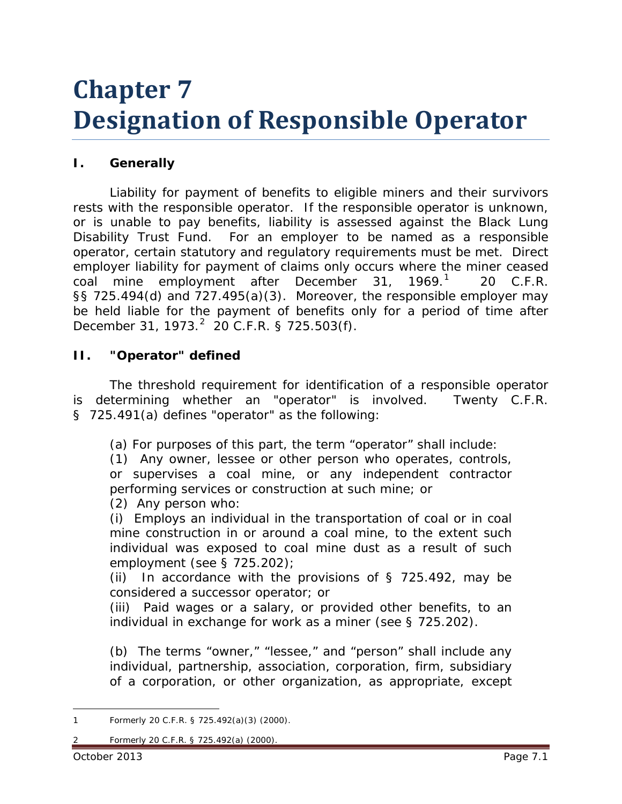# **Chapter 7 Designation of Responsible Operator**

# **I. Generally**

Liability for payment of benefits to eligible miners and their survivors rests with the responsible operator. If the responsible operator is unknown, or is unable to pay benefits, liability is assessed against the Black Lung Disability Trust Fund. For an employer to be named as a responsible operator, certain statutory and regulatory requirements must be met. Direct employer liability for payment of claims only occurs where the miner ceased coal mine employment after December 31,  $1969<sup>1</sup>$  $1969<sup>1</sup>$  20 C.F.R. §§ 725.494(d) and 727.495(a)(3). Moreover, the responsible employer may be held liable for the payment of benefits only for a period of time after December 31, 1973.<sup>[2](#page-0-1)</sup> 20 C.F.R. § 725.503(f).

#### **II. "Operator" defined**

The threshold requirement for identification of a responsible operator is determining whether an "operator" is involved. Twenty C.F.R. § 725.491(a) defines "operator" as the following:

(a) For purposes of this part, the term "operator" shall include:

(1) Any owner, lessee or other person who operates, controls, or supervises a coal mine, or any independent contractor performing services or construction at such mine; or

(2) Any person who:

(i) Employs an individual in the transportation of coal or in coal mine construction in or around a coal mine, to the extent such individual was exposed to coal mine dust as a result of such employment (see § 725.202);

(ii) In accordance with the provisions of  $\S$  725.492, may be considered a successor operator; or

(iii) Paid wages or a salary, or provided other benefits, to an individual in exchange for work as a miner (see § 725.202).

(b) The terms "owner," "lessee," and "person" shall include any individual, partnership, association, corporation, firm, subsidiary of a corporation, or other organization, as appropriate, except

<span id="page-0-1"></span><span id="page-0-0"></span><sup>1</sup> Formerly 20 C.F.R. § 725.492(a)(3) (2000).  $\overline{a}$ 

<sup>2</sup> Formerly 20 C.F.R. § 725.492(a) (2000).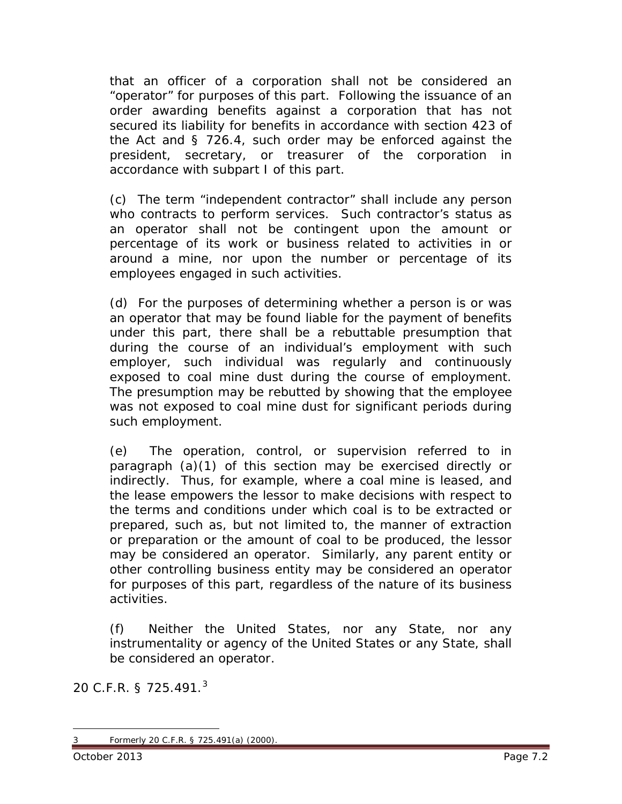that an officer of a corporation shall not be considered an "operator" for purposes of this part. Following the issuance of an order awarding benefits against a corporation that has not secured its liability for benefits in accordance with section 423 of the Act and § 726.4, such order may be enforced against the president, secretary, or treasurer of the corporation in accordance with subpart I of this part.

(c) The term "independent contractor" shall include any person who contracts to perform services. Such contractor's status as an operator shall not be contingent upon the amount or percentage of its work or business related to activities in or around a mine, nor upon the number or percentage of its employees engaged in such activities.

(d) For the purposes of determining whether a person is or was an operator that may be found liable for the payment of benefits under this part, there shall be a rebuttable presumption that during the course of an individual's employment with such employer, such individual was regularly and continuously exposed to coal mine dust during the course of employment. The presumption may be rebutted by showing that the employee was not exposed to coal mine dust for significant periods during such employment.

(e) The operation, control, or supervision referred to in paragraph (a)(1) of this section may be exercised directly or indirectly. Thus, for example, where a coal mine is leased, and the lease empowers the lessor to make decisions with respect to the terms and conditions under which coal is to be extracted or prepared, such as, but not limited to, the manner of extraction or preparation or the amount of coal to be produced, the lessor may be considered an operator. Similarly, any parent entity or other controlling business entity may be considered an operator for purposes of this part, regardless of the nature of its business activities.

(f) Neither the United States, nor any State, nor any instrumentality or agency of the United States or any State, shall be considered an operator.

20 C.F.R. § 725.491. $^3$  $^3$ 

<span id="page-1-0"></span><sup>3</sup> Formerly 20 C.F.R. § 725.491(a) (2000).  $\overline{a}$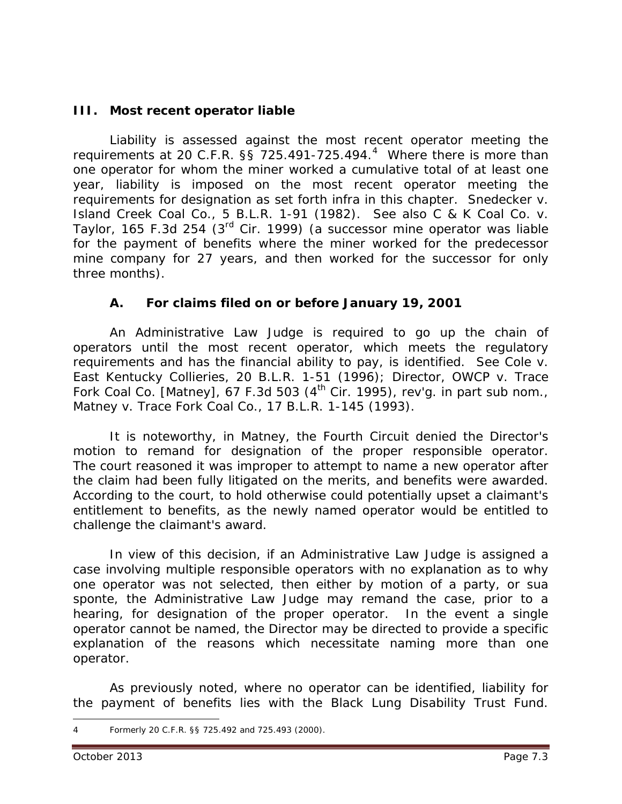# **III. Most recent operator liable**

Liability is assessed against the most recent operator meeting the requirements at 20 C.F.R.  $\S$ § 725.[4](#page-2-0)91-725.494. $4$  Where there is more than one operator for whom the miner worked a cumulative total of at least one year, liability is imposed on the most recent operator meeting the requirements for designation as set forth *infra* in this chapter. *Snedecker v. Island Creek Coal Co.*, 5 B.L.R. 1-91 (1982). *See also C & K Coal Co. v. Taylor*, 165 F.3d 254 (3rd Cir. 1999) (a successor mine operator was liable for the payment of benefits where the miner worked for the predecessor mine company for 27 years, and then worked for the successor for only three months).

#### **A. For claims filed on or before January 19, 2001**

An Administrative Law Judge is required to go up the chain of operators until the most recent operator, which meets the regulatory requirements and has the financial ability to pay, is identified. *See Cole v. East Kentucky Collieries*, 20 B.L.R. 1-51 (1996); *Director, OWCP v. Trace Fork Coal Co. [Matney]*, 67 F.3d 503 (4th Cir. 1995), *rev'g. in part sub nom.*, *Matney v. Trace Fork Coal Co.*, 17 B.L.R. 1-145 (1993).

It is noteworthy, in *Matney*, the Fourth Circuit denied the Director's motion to remand for designation of the proper responsible operator. The court reasoned it was improper to attempt to name a new operator after the claim had been fully litigated on the merits, and benefits were awarded. According to the court, to hold otherwise could potentially upset a claimant's entitlement to benefits, as the newly named operator would be entitled to challenge the claimant's award.

In view of this decision, if an Administrative Law Judge is assigned a case involving multiple responsible operators with no explanation as to why one operator was not selected, then either by motion of a party, or *sua sponte*, the Administrative Law Judge may remand the case, *prior* to a hearing, for designation of the proper operator. In the event a single operator cannot be named, the Director may be directed to provide a specific explanation of the reasons which necessitate naming more than one operator.

As previously noted, where no operator can be identified, liability for the payment of benefits lies with the Black Lung Disability Trust Fund.

<span id="page-2-0"></span><sup>4</sup> Formerly 20 C.F.R. §§ 725.492 and 725.493 (2000).  $\overline{a}$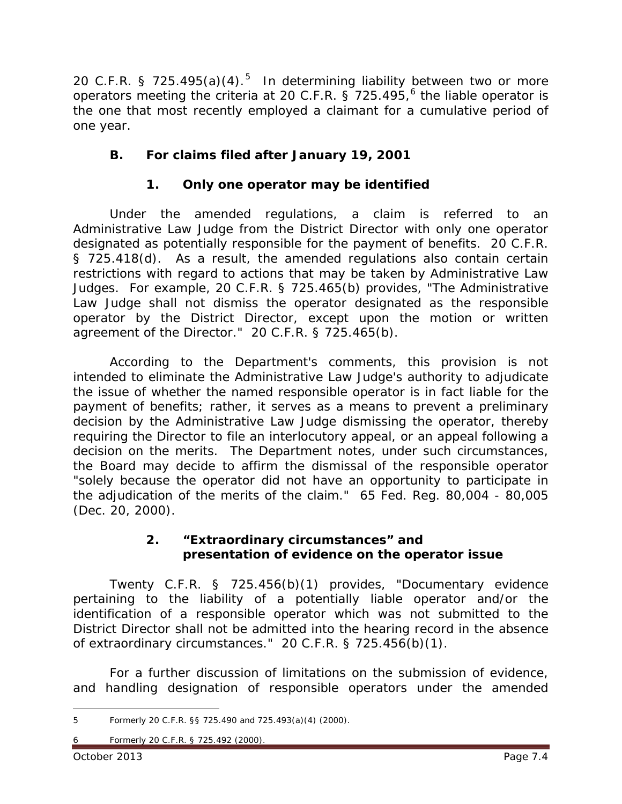20 C.F.R. § 72[5](#page-3-0).495(a)(4).<sup>5</sup> In determining liability between two or more operators meeting the criteria at 20 C.F.R. § 725.495,<sup>[6](#page-3-1)</sup> the liable operator is the one that most recently employed a claimant for a cumulative period of one year.

# **B. For claims filed after January 19, 2001**

# **1. Only one operator may be identified**

Under the amended regulations, a claim is referred to an Administrative Law Judge from the District Director with only one operator designated as potentially responsible for the payment of benefits. 20 C.F.R. § 725.418(d). As a result, the amended regulations also contain certain restrictions with regard to actions that may be taken by Administrative Law Judges. For example, 20 C.F.R. § 725.465(b) provides, "The Administrative Law Judge shall not dismiss the operator designated as the responsible operator by the District Director, except upon the motion or written agreement of the Director." 20 C.F.R. § 725.465(b).

According to the Department's comments, this provision is not intended to eliminate the Administrative Law Judge's authority to adjudicate the issue of whether the named responsible operator is in fact liable for the payment of benefits; rather, it serves as a means to prevent a preliminary decision by the Administrative Law Judge dismissing the operator, thereby requiring the Director to file an interlocutory appeal, or an appeal following a decision on the merits. The Department notes, under such circumstances, the Board may decide to affirm the dismissal of the responsible operator "solely because the operator did not have an opportunity to participate in the adjudication of the merits of the claim." 65 Fed. Reg. 80,004 - 80,005 (Dec. 20, 2000).

# **2. "Extraordinary circumstances" and presentation of evidence on the operator issue**

Twenty C.F.R. § 725.456(b)(1) provides, "Documentary evidence pertaining to the liability of a potentially liable operator and/or the identification of a responsible operator which was not submitted to the District Director shall not be admitted into the hearing record in the absence of extraordinary circumstances." 20 C.F.R. § 725.456(b)(1).

For a further discussion of limitations on the submission of evidence, and handling designation of responsible operators under the amended

<span id="page-3-0"></span><sup>5</sup> Formerly 20 C.F.R. §§ 725.490 and 725.493(a)(4) (2000).  $\overline{a}$ 

<span id="page-3-1"></span><sup>6</sup> Formerly 20 C.F.R. § 725.492 (2000).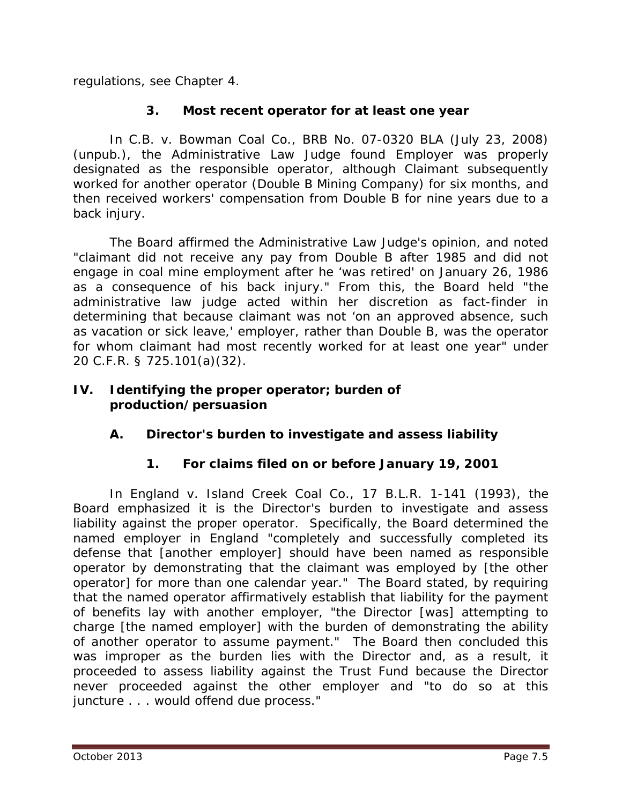regulations, *see* Chapter 4.

# **3. Most recent operator for at least one year**

In *C.B. v. Bowman Coal Co.*, BRB No. 07-0320 BLA (July 23, 2008) (unpub.), the Administrative Law Judge found Employer was properly designated as the responsible operator, although Claimant subsequently worked for another operator (Double B Mining Company) for six months, and then received workers' compensation from Double B for nine years due to a back injury.

The Board affirmed the Administrative Law Judge's opinion, and noted "claimant did not receive any pay from Double B after 1985 and did not engage in coal mine employment after he 'was retired' on January 26, 1986 as a consequence of his back injury." From this, the Board held "the administrative law judge acted within her discretion as fact-finder in determining that because claimant was not 'on an approved absence, such as vacation or sick leave,' employer, rather than Double B, was the operator for whom claimant had most recently worked for at least one year" under 20 C.F.R. § 725.101(a)(32).

#### **IV. Identifying the proper operator; burden of production/persuasion**

# **A. Director's burden to investigate and assess liability**

# **1. For claims filed on or before January 19, 2001**

In *England v. Island Creek Coal Co.*, 17 B.L.R. 1-141 (1993), the Board emphasized it is the Director's burden to investigate and assess liability against the proper operator. Specifically, the Board determined the named employer in *England* "completely and successfully completed its defense that [another employer] should have been named as responsible operator by demonstrating that the claimant was employed by [the other operator] for more than one calendar year." The Board stated, by requiring that the named operator affirmatively establish that liability for the payment of benefits lay with another employer, "the Director [was] attempting to charge [the named employer] with the burden of demonstrating the ability of another operator to assume payment." The Board then concluded this was improper as the burden lies with the Director and, as a result, it proceeded to assess liability against the Trust Fund because the Director never proceeded against the other employer and "to do so at this juncture . . . would offend due process."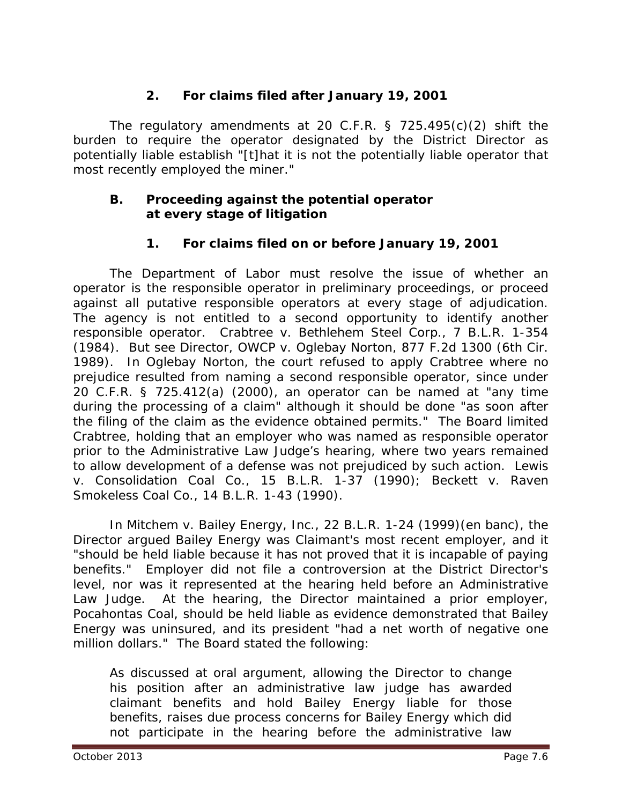# **2. For claims filed after January 19, 2001**

The regulatory amendments at 20 C.F.R. § 725.495(c)(2) shift the burden to require the operator designated by the District Director as potentially liable establish "[t]hat it is not the potentially liable operator that most recently employed the miner."

#### **B. Proceeding against the potential operator at every stage of litigation**

# **1. For claims filed on or before January 19, 2001**

The Department of Labor must resolve the issue of whether an operator is the responsible operator in preliminary proceedings, or proceed against all putative responsible operators at every stage of adjudication. The agency is not entitled to a second opportunity to identify another responsible operator. *Crabtree v. Bethlehem Steel Corp.*, 7 B.L.R. 1-354 (1984). *But see Director, OWCP v. Oglebay Norton*, 877 F.2d 1300 (6th Cir. 1989). In *Oglebay Norton*, the court refused to apply *Crabtree* where no prejudice resulted from naming a second responsible operator, since under 20 C.F.R. § 725.412(a) (2000), an operator can be named at "any time during the processing of a claim" although it should be done "as soon after the filing of the claim as the evidence obtained permits." The Board limited *Crabtree*, holding that an employer who was named as responsible operator prior to the Administrative Law Judge's hearing, where two years remained to allow development of a defense was not prejudiced by such action. *Lewis v. Consolidation Coal Co.*, 15 B.L.R. 1-37 (1990); *Beckett v. Raven Smokeless Coal Co.*, 14 B.L.R. 1-43 (1990).

In *Mitchem v. Bailey Energy, Inc.*, 22 B.L.R. 1-24 (1999)(en banc), the Director argued Bailey Energy was Claimant's most recent employer, and it "should be held liable because it has not proved that it is incapable of paying benefits." Employer did not file a controversion at the District Director's level, nor was it represented at the hearing held before an Administrative Law Judge. At the hearing, the Director maintained a prior employer, Pocahontas Coal, should be held liable as evidence demonstrated that Bailey Energy was uninsured, and its president "had a net worth of negative one million dollars." The Board stated the following:

As discussed at oral argument, allowing the Director to change his position after an administrative law judge has awarded claimant benefits and hold Bailey Energy liable for those benefits, raises due process concerns for Bailey Energy which did not participate in the hearing before the administrative law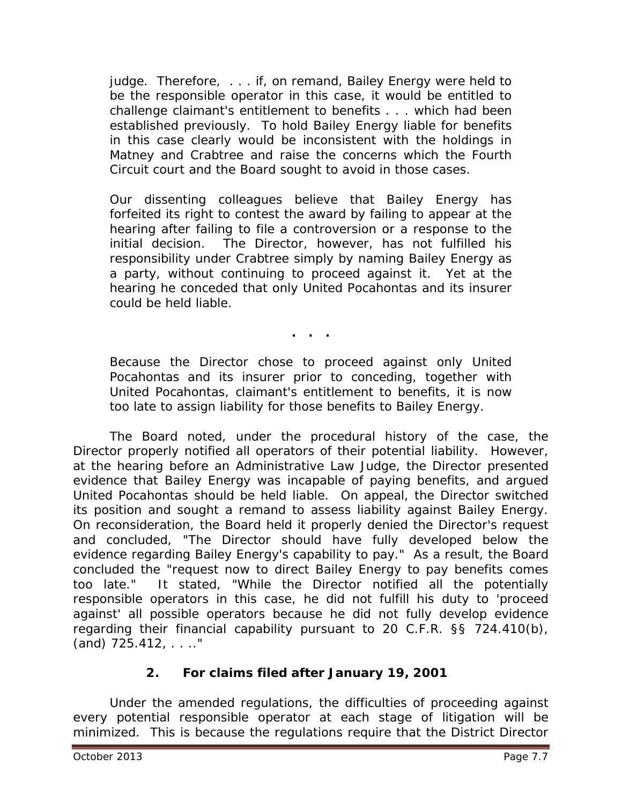judge. Therefore, . . . if, on remand, Bailey Energy were held to be the responsible operator in this case, it would be entitled to challenge claimant's entitlement to benefits . . . which had been established previously. To hold Bailey Energy liable for benefits in this case clearly would be inconsistent with the holdings in *Matney* and *Crabtree* and raise the concerns which the Fourth Circuit court and the Board sought to avoid in those cases.

Our dissenting colleagues believe that Bailey Energy has forfeited its right to contest the award by failing to appear at the hearing after failing to file a controversion or a response to the initial decision. The Director, however, has not fulfilled his responsibility under *Crabtree* simply by naming Bailey Energy as a party, without continuing to proceed against it. Yet at the hearing he conceded that only United Pocahontas and its insurer could be held liable.

**. . .**

Because the Director chose to proceed against only United Pocahontas and its insurer prior to conceding, together with United Pocahontas, claimant's entitlement to benefits, it is now too late to assign liability for those benefits to Bailey Energy.

The Board noted, under the procedural history of the case, the Director properly notified all operators of their potential liability. However, at the hearing before an Administrative Law Judge, the Director presented evidence that Bailey Energy was incapable of paying benefits, and argued United Pocahontas should be held liable. On appeal, the Director switched its position and sought a remand to assess liability against Bailey Energy. On reconsideration, the Board held it properly denied the Director's request and concluded, "The Director should have fully developed below the evidence regarding Bailey Energy's capability to pay." As a result, the Board concluded the "request now to direct Bailey Energy to pay benefits comes too late." It stated, "While the Director notified all the potentially responsible operators in this case, he did not fulfill his duty to 'proceed against' all possible operators because he did not fully develop evidence regarding their financial capability pursuant to 20 C.F.R. §§ 724.410(b), (and) 725.412, . . .."

# **2. For claims filed after January 19, 2001**

Under the amended regulations, the difficulties of proceeding against every potential responsible operator at each stage of litigation will be minimized. This is because the regulations require that the District Director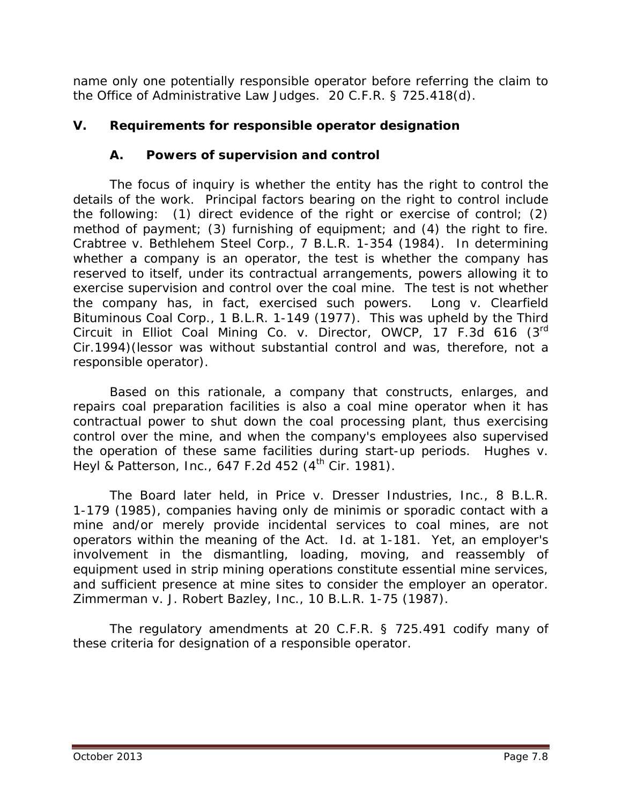name only one potentially responsible operator before referring the claim to the Office of Administrative Law Judges. 20 C.F.R. § 725.418(d).

# **V. Requirements for responsible operator designation**

# **A. Powers of supervision and control**

The focus of inquiry is whether the entity has the right to control the details of the work. Principal factors bearing on the right to control include the following: (1) direct evidence of the right or exercise of control; (2) method of payment; (3) furnishing of equipment; and (4) the right to fire. *Crabtree v. Bethlehem Steel Corp.*, 7 B.L.R. 1-354 (1984). In determining whether a company is an operator, the test is whether the company has reserved to itself, under its contractual arrangements, powers allowing it to exercise supervision and control over the coal mine. The test is not whether the company has, in fact, exercised such powers. *Long v. Clearfield Bituminous Coal Corp.*, 1 B.L.R. 1-149 (1977). This was upheld by the Third Circuit in *Elliot Coal Mining Co. v. Director, OWCP,* 17 F.3d 616 (3rd Cir.1994)(lessor was without substantial control and was, therefore, not a responsible operator).

Based on this rationale, a company that constructs, enlarges, and repairs coal preparation facilities is also a coal mine operator when it has contractual power to shut down the coal processing plant, thus exercising control over the mine, and when the company's employees also supervised the operation of these same facilities during start-up periods. *Hughes v. Heyl & Patterson, Inc., 647 F.2d 452 (4<sup>th</sup> Cir. 1981).* 

The Board later held, in *Price v. Dresser Industries, Inc.*, 8 B.L.R. 1-179 (1985), companies having only *de minimis* or sporadic contact with a mine and/or merely provide incidental services to coal mines, are not operators within the meaning of the Act. *Id*. at 1-181. Yet, an employer's involvement in the dismantling, loading, moving, and reassembly of equipment used in strip mining operations constitute essential mine services, and sufficient presence at mine sites to consider the employer an operator. *Zimmerman v. J. Robert Bazley, Inc.*, 10 B.L.R. 1-75 (1987).

The regulatory amendments at 20 C.F.R. § 725.491 codify many of these criteria for designation of a responsible operator.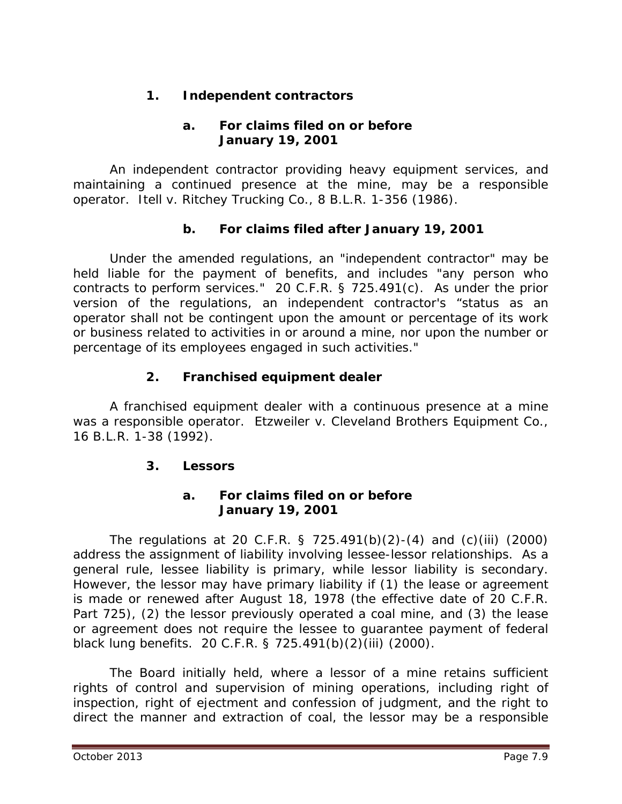# **1. Independent contractors**

# **a. For claims filed on or before January 19, 2001**

An independent contractor providing heavy equipment services, and maintaining a continued presence at the mine, may be a responsible operator. *Itell v. Ritchey Trucking Co.*, 8 B.L.R. 1-356 (1986).

# **b. For claims filed after January 19, 2001**

Under the amended regulations, an "independent contractor" may be held liable for the payment of benefits, and includes "any person who contracts to perform services." 20 C.F.R. § 725.491(c). As under the prior version of the regulations, an independent contractor's "status as an operator shall not be contingent upon the amount or percentage of its work or business related to activities in or around a mine, nor upon the number or percentage of its employees engaged in such activities."

# **2. Franchised equipment dealer**

A franchised equipment dealer with a continuous presence at a mine was a responsible operator. *Etzweiler v. Cleveland Brothers Equipment Co.*, 16 B.L.R. 1-38 (1992).

# **3. Lessors**

#### **a. For claims filed on or before January 19, 2001**

The regulations at 20 C.F.R. § 725.491(b)(2)-(4) and (c)(iii) (2000) address the assignment of liability involving lessee-lessor relationships. As a general rule, lessee liability is primary, while lessor liability is secondary. However, the lessor may have primary liability if (1) the lease or agreement is made or renewed after August 18, 1978 (the effective date of 20 C.F.R. Part 725), (2) the lessor previously operated a coal mine, and (3) the lease or agreement does not require the lessee to guarantee payment of federal black lung benefits. 20 C.F.R. § 725.491(b)(2)(iii) (2000).

The Board initially held, where a lessor of a mine retains sufficient rights of control and supervision of mining operations, including right of inspection, right of ejectment and confession of judgment, and the right to direct the manner and extraction of coal, the lessor may be a responsible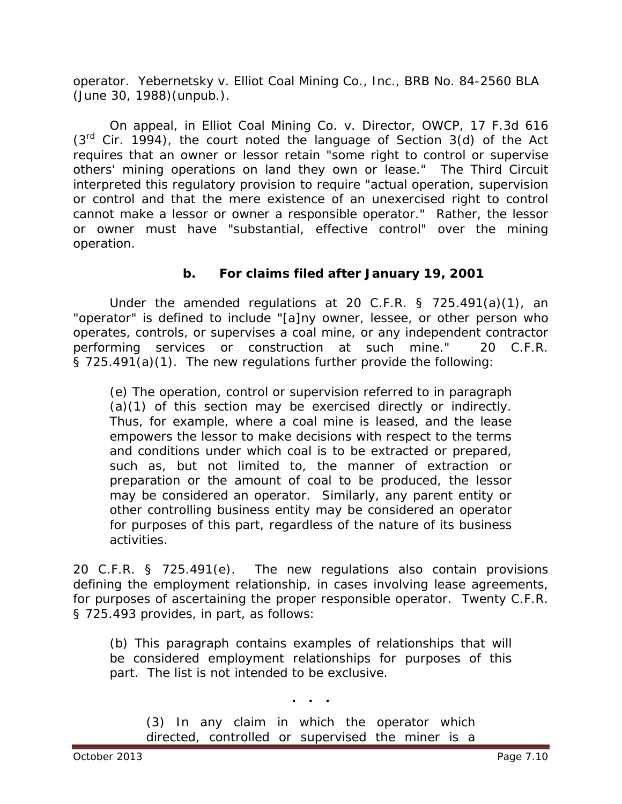operator. *Yebernetsky v. Elliot Coal Mining Co., Inc.*, BRB No. 84-2560 BLA (June 30, 1988)(unpub.).

On appeal, in *Elliot Coal Mining Co. v. Director, OWCP*, 17 F.3d 616  $(3<sup>rd</sup>$  Cir. 1994), the court noted the language of Section 3(d) of the Act requires that an owner or lessor retain "some right to control or supervise others' mining operations on land they own or lease." The Third Circuit interpreted this regulatory provision to require "actual operation, supervision or control and that the mere existence of an unexercised right to control cannot make a lessor or owner a responsible operator." Rather, the lessor or owner must have "substantial, effective control" over the mining operation.

# **b. For claims filed after January 19, 2001**

Under the amended regulations at 20 C.F.R. § 725.491(a)(1), an "operator" is defined to include "[a]ny owner, lessee, or other person who operates, controls, or supervises a coal mine, or any independent contractor performing services or construction at such mine." 20 C.F.R. § 725.491(a)(1). The new regulations further provide the following:

(e) The operation, control or supervision referred to in paragraph (a)(1) of this section may be exercised directly or indirectly. Thus, for example, where a coal mine is leased, and the lease empowers the lessor to make decisions with respect to the terms and conditions under which coal is to be extracted or prepared, such as, but not limited to, the manner of extraction or preparation or the amount of coal to be produced, the lessor may be considered an operator. Similarly, any parent entity or other controlling business entity may be considered an operator for purposes of this part, regardless of the nature of its business activities.

20 C.F.R. § 725.491(e). The new regulations also contain provisions defining the employment relationship, in cases involving lease agreements, for purposes of ascertaining the proper responsible operator. Twenty C.F.R. § 725.493 provides, in part, as follows:

(b) This paragraph contains examples of relationships that will be considered employment relationships for purposes of this part. The list is not intended to be exclusive.

**. . .**

(3) In any claim in which the operator which directed, controlled or supervised the miner is a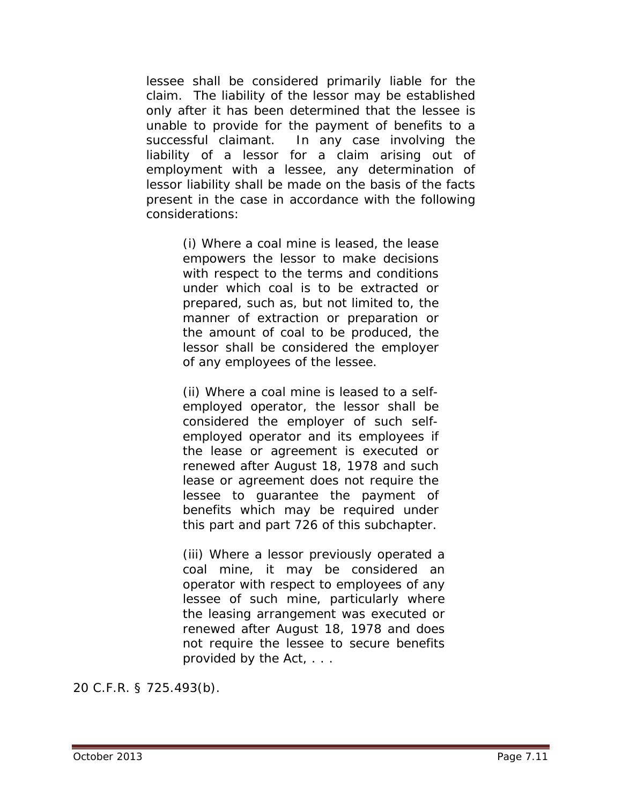lessee shall be considered primarily liable for the claim. The liability of the lessor may be established only after it has been determined that the lessee is unable to provide for the payment of benefits to a successful claimant. In any case involving the liability of a lessor for a claim arising out of employment with a lessee, any determination of lessor liability shall be made on the basis of the facts present in the case in accordance with the following considerations:

> (i) Where a coal mine is leased, the lease empowers the lessor to make decisions with respect to the terms and conditions under which coal is to be extracted or prepared, such as, but not limited to, the manner of extraction or preparation or the amount of coal to be produced, the lessor shall be considered the employer of any employees of the lessee.

> (ii) Where a coal mine is leased to a selfemployed operator, the lessor shall be considered the employer of such selfemployed operator and its employees if the lease or agreement is executed or renewed after August 18, 1978 and such lease or agreement does not require the lessee to guarantee the payment of benefits which may be required under this part and part 726 of this subchapter.

(iii) Where a lessor previously operated a coal mine, it may be considered an operator with respect to employees of any lessee of such mine, particularly where the leasing arrangement was executed or renewed after August 18, 1978 and does not require the lessee to secure benefits provided by the Act, . . .

20 C.F.R. § 725.493(b).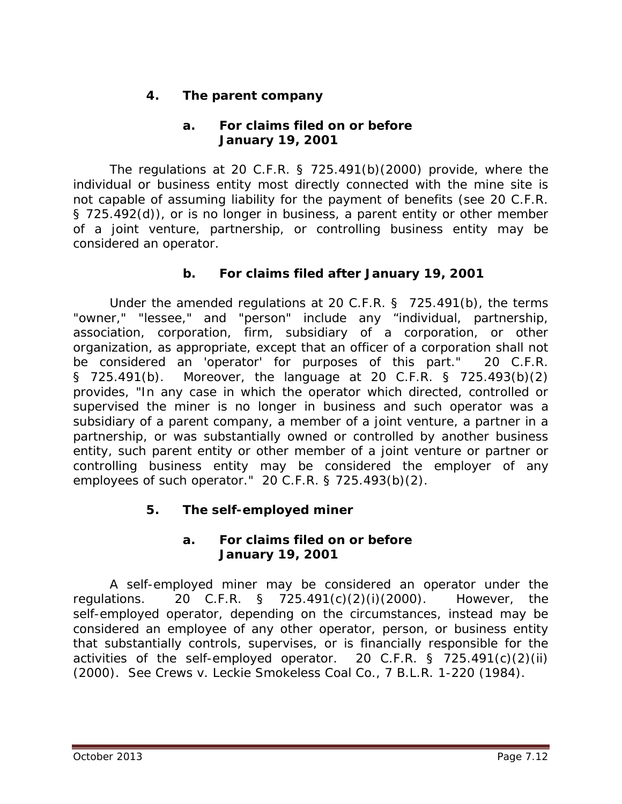# **4. The parent company**

### **a. For claims filed on or before January 19, 2001**

The regulations at 20 C.F.R. § 725.491(b)(2000) provide, where the individual or business entity most directly connected with the mine site is not capable of assuming liability for the payment of benefits (*see* 20 C.F.R. § 725.492(d)), or is no longer in business, a parent entity or other member of a joint venture, partnership, or controlling business entity may be considered an operator.

# **b. For claims filed after January 19, 2001**

Under the amended regulations at 20 C.F.R. § 725.491(b), the terms "owner," "lessee," and "person" include any "individual, partnership, association, corporation, firm, subsidiary of a corporation, or other organization, as appropriate, except that an officer of a corporation shall not be considered an 'operator' for purposes of this part." 20 C.F.R. § 725.491(b). Moreover, the language at 20 C.F.R. § 725.493(b)(2) provides, "In any case in which the operator which directed, controlled or supervised the miner is no longer in business and such operator was a subsidiary of a parent company, a member of a joint venture, a partner in a partnership, or was substantially owned or controlled by another business entity, such parent entity or other member of a joint venture or partner or controlling business entity may be considered the employer of any employees of such operator." 20 C.F.R. § 725.493(b)(2).

# **5. The self-employed miner**

#### **a. For claims filed on or before January 19, 2001**

A self-employed miner may be considered an operator under the regulations. 20 C.F.R. § 725.491(c)(2)(i)(2000). However, the self-employed operator, depending on the circumstances, instead may be considered an employee of any other operator, person, or business entity that substantially controls, supervises, or is financially responsible for the activities of the self-employed operator. 20 C.F.R. § 725.491(c)(2)(ii) (2000). *See Crews v. Leckie Smokeless Coal Co.*, 7 B.L.R. 1-220 (1984).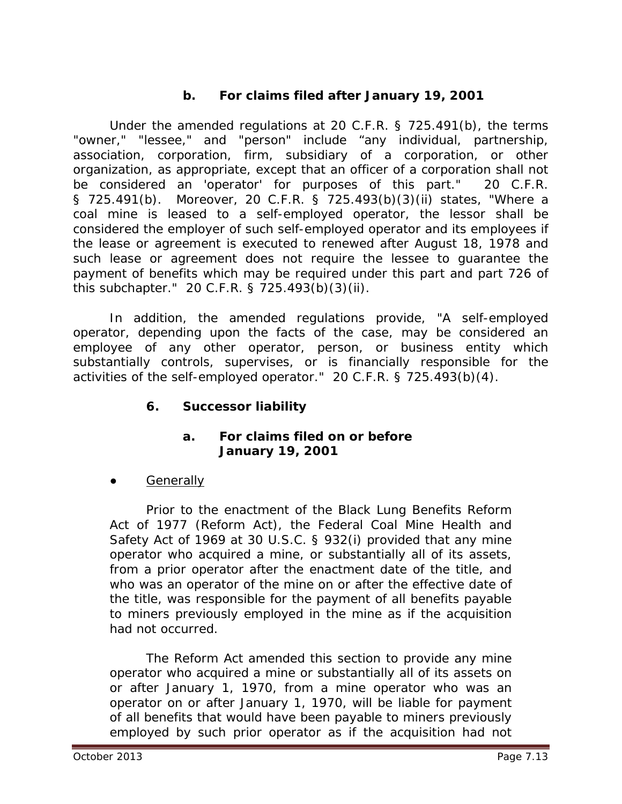# **b. For claims filed after January 19, 2001**

Under the amended regulations at 20 C.F.R. § 725.491(b), the terms "owner," "lessee," and "person" include "any individual, partnership, association, corporation, firm, subsidiary of a corporation, or other organization, as appropriate, except that an officer of a corporation shall not be considered an 'operator' for purposes of this part." 20 C.F.R. § 725.491(b). Moreover, 20 C.F.R. § 725.493(b)(3)(ii) states, "Where a coal mine is leased to a self-employed operator, the lessor shall be considered the employer of such self-employed operator and its employees if the lease or agreement is executed to renewed after August 18, 1978 and such lease or agreement does not require the lessee to guarantee the payment of benefits which may be required under this part and part 726 of this subchapter." 20 C.F.R. § 725.493(b)(3)(ii).

In addition, the amended regulations provide, "A self-employed operator, depending upon the facts of the case, may be considered an employee of any other operator, person, or business entity which substantially controls, supervises, or is financially responsible for the activities of the self-employed operator." 20 C.F.R. § 725.493(b)(4).

**6. Successor liability**

#### **a. For claims filed on or before January 19, 2001**

**Generally** 

Prior to the enactment of the Black Lung Benefits Reform Act of 1977 (Reform Act), the Federal Coal Mine Health and Safety Act of 1969 at 30 U.S.C. § 932(i) provided that any mine operator who acquired a mine, or substantially all of its assets, from a prior operator after the enactment date of the title, and who was an operator of the mine on or after the effective date of the title, was responsible for the payment of all benefits payable to miners previously employed in the mine as if the acquisition had not occurred.

The Reform Act amended this section to provide any mine operator who acquired a mine or substantially all of its assets on or after January 1, 1970, from a mine operator who was an operator on or after January 1, 1970, will be liable for payment of all benefits that would have been payable to miners previously employed by such prior operator as if the acquisition had not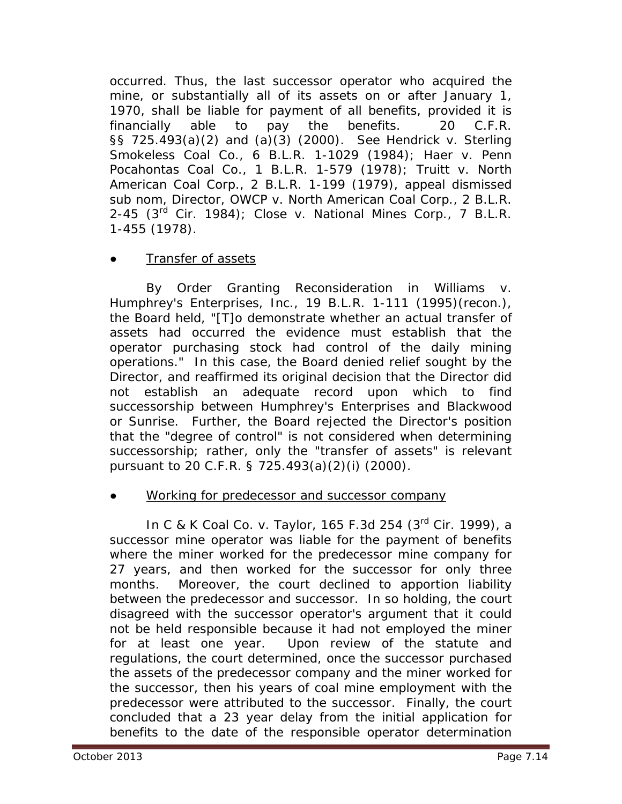occurred. Thus, the last successor operator who acquired the mine, or substantially all of its assets on or after January 1, 1970, shall be liable for payment of all benefits, provided it is financially able to pay the benefits. 20 C.F.R. §§ 725.493(a)(2) and (a)(3) (2000). *See Hendrick v. Sterling Smokeless Coal Co*., 6 B.L.R. 1-1029 (1984); *Haer v. Penn Pocahontas Coal Co.*, 1 B.L.R. 1-579 (1978); *Truitt v. North American Coal Corp.*, 2 B.L.R. 1-199 (1979), *appeal dismissed sub nom*, *Director, OWCP v. North American Coal Corp.,* 2 B.L.R. 2-45 (3rd Cir. 1984); *Close v. National Mines Corp*., 7 B.L.R. 1-455 (1978).

#### Transfer of assets

By Order Granting Reconsideration in *Williams v. Humphrey's Enterprises, Inc.*, 19 B.L.R. 1-111 (1995)(recon.), the Board held, "[T]o demonstrate whether an actual transfer of assets had occurred the evidence must establish that the operator purchasing stock had control of the daily mining operations." In this case, the Board denied relief sought by the Director, and reaffirmed its original decision that the Director did not establish an adequate record upon which to find successorship between Humphrey's Enterprises and Blackwood or Sunrise. Further, the Board rejected the Director's position that the "degree of control" is not considered when determining successorship; rather, only the "transfer of assets" is relevant pursuant to 20 C.F.R. § 725.493(a)(2)(i) (2000).

#### Working for predecessor and successor company

In *C & K Coal Co. v. Taylor*, 165 F.3d 254 (3rd Cir. 1999), a successor mine operator was liable for the payment of benefits where the miner worked for the predecessor mine company for 27 years, and then worked for the successor for only three months. Moreover, the court declined to apportion liability between the predecessor and successor. In so holding, the court disagreed with the successor operator's argument that it could not be held responsible because it had not employed the miner for at least one year. Upon review of the statute and regulations, the court determined, once the successor purchased the assets of the predecessor company and the miner worked for the successor, then his years of coal mine employment with the predecessor were attributed to the successor. Finally, the court concluded that a 23 year delay from the initial application for benefits to the date of the responsible operator determination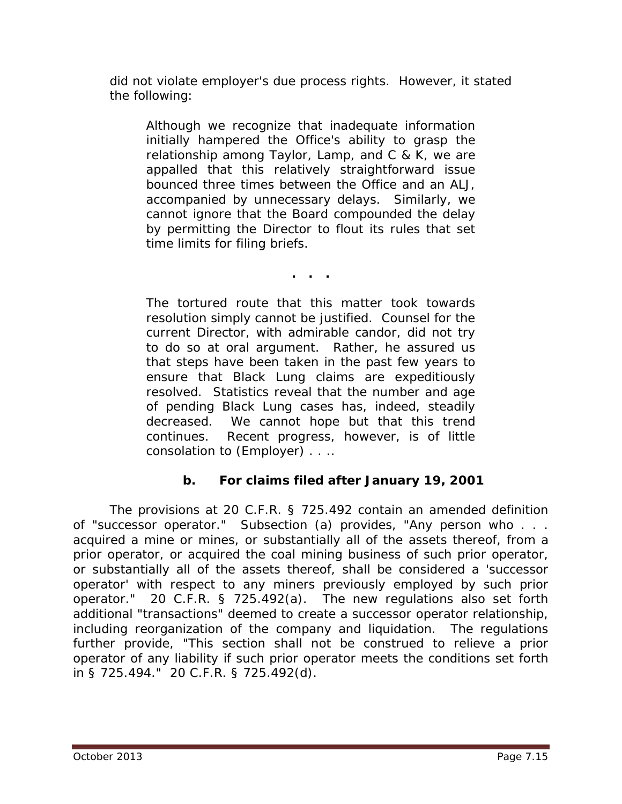did not violate employer's due process rights. However, it stated the following:

Although we recognize that inadequate information initially hampered the Office's ability to grasp the relationship among Taylor, Lamp, and C & K, we are appalled that this relatively straightforward issue bounced three times between the Office and an ALJ, accompanied by unnecessary delays. Similarly, we cannot ignore that the Board compounded the delay by permitting the Director to flout its rules that set time limits for filing briefs.

**. . .**

The tortured route that this matter took towards resolution simply cannot be justified. Counsel for the current Director, with admirable candor, did not try to do so at oral argument. Rather, he assured us that steps have been taken in the past few years to ensure that Black Lung claims are expeditiously resolved. Statistics reveal that the number and age of pending Black Lung cases has, indeed, steadily decreased. We cannot hope but that this trend continues. Recent progress, however, is of little consolation to (Employer) . . ..

# **b. For claims filed after January 19, 2001**

The provisions at 20 C.F.R. § 725.492 contain an amended definition of "successor operator." Subsection (a) provides, "Any person who . . . acquired a mine or mines, or substantially all of the assets thereof, from a prior operator, or acquired the coal mining business of such prior operator, or substantially all of the assets thereof, shall be considered a 'successor operator' with respect to any miners previously employed by such prior operator." 20 C.F.R. § 725.492(a). The new regulations also set forth additional "transactions" deemed to create a successor operator relationship, including reorganization of the company and liquidation. The regulations further provide, "This section shall not be construed to relieve a prior operator of any liability if such prior operator meets the conditions set forth in § 725.494." 20 C.F.R. § 725.492(d).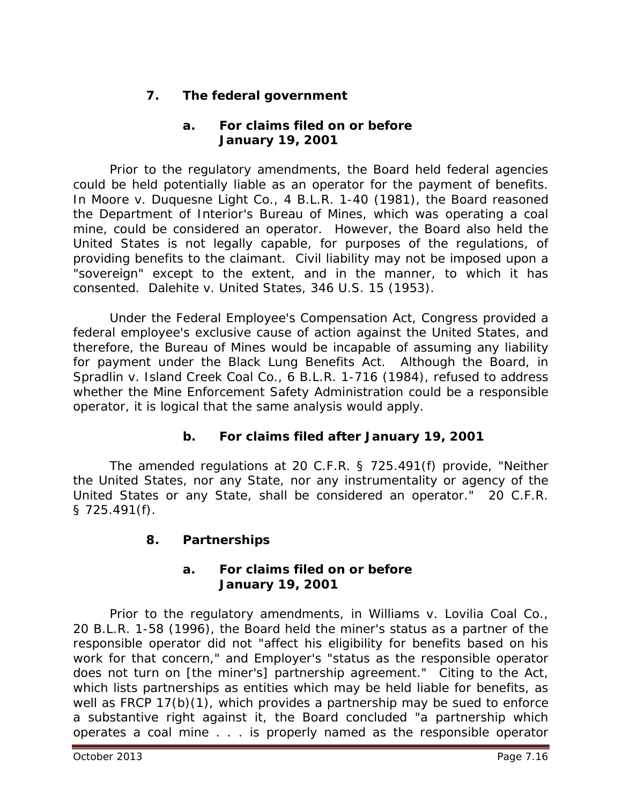# **7. The federal government**

# **a. For claims filed on or before January 19, 2001**

Prior to the regulatory amendments, the Board held federal agencies could be held potentially liable as an operator for the payment of benefits. In *Moore v. Duquesne Light Co.*, 4 B.L.R. 1-40 (1981), the Board reasoned the Department of Interior's Bureau of Mines, which was operating a coal mine, could be considered an operator. However, the Board also held the United States is not legally capable, for purposes of the regulations, of providing benefits to the claimant. Civil liability may not be imposed upon a "sovereign" except to the extent, and in the manner, to which it has consented. *Dalehite v. United States*, 346 U.S. 15 (1953).

Under the Federal Employee's Compensation Act, Congress provided a federal employee's exclusive cause of action against the United States, and therefore, the Bureau of Mines would be incapable of assuming any liability for payment under the Black Lung Benefits Act. Although the Board, in *Spradlin v. Island Creek Coal Co.*, 6 B.L.R. 1-716 (1984), refused to address whether the Mine Enforcement Safety Administration could be a responsible operator, it is logical that the same analysis would apply.

# **b. For claims filed after January 19, 2001**

The amended regulations at 20 C.F.R. § 725.491(f) provide, "Neither the United States, nor any State, nor any instrumentality or agency of the United States or any State, shall be considered an operator." 20 C.F.R. § 725.491(f).

# **8. Partnerships**

#### **a. For claims filed on or before January 19, 2001**

Prior to the regulatory amendments, in *Williams v. Lovilia Coal Co.*, 20 B.L.R. 1-58 (1996), the Board held the miner's status as a partner of the responsible operator did not "affect his eligibility for benefits based on his work for that concern," and Employer's "status as the responsible operator does not turn on [the miner's] partnership agreement." Citing to the Act, which lists partnerships as entities which may be held liable for benefits, as well as FRCP 17(b)(1), which provides a partnership may be sued to enforce a substantive right against it, the Board concluded "a partnership which operates a coal mine . . . is properly named as the responsible operator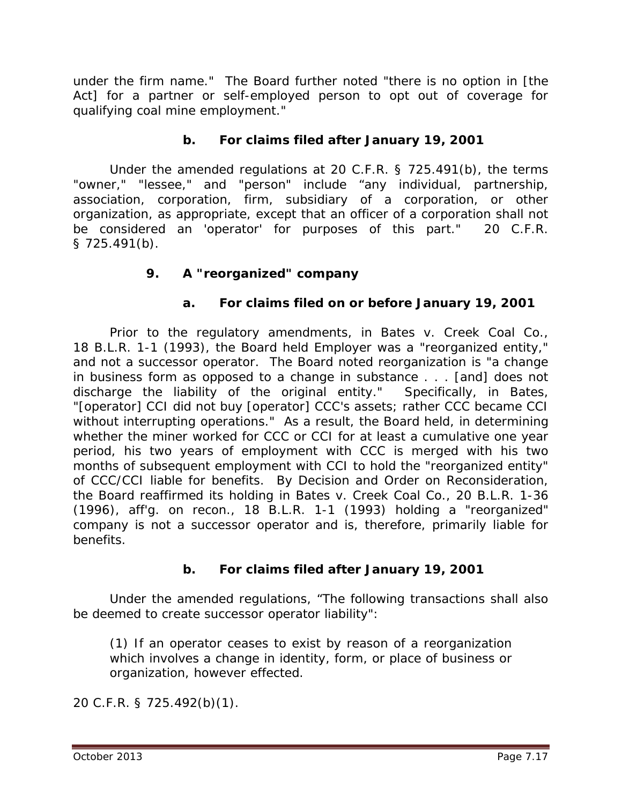under the firm name." The Board further noted "there is no option in [the Act] for a partner or self-employed person to opt out of coverage for qualifying coal mine employment."

# **b. For claims filed after January 19, 2001**

Under the amended regulations at 20 C.F.R. § 725.491(b), the terms "owner," "lessee," and "person" include "any individual, partnership, association, corporation, firm, subsidiary of a corporation, or other organization, as appropriate, except that an officer of a corporation shall not be considered an 'operator' for purposes of this part." 20 C.F.R. § 725.491(b).

#### **9. A "reorganized" company**

#### **a. For claims filed on or before January 19, 2001**

Prior to the regulatory amendments, in *Bates v. Creek Coal Co.*, 18 B.L.R. 1-1 (1993), the Board held Employer was a "reorganized entity," and not a successor operator. The Board noted reorganization is "a change in business form as opposed to a change in substance . . . [and] does not discharge the liability of the original entity." Specifically, in *Bates*, "[operator] CCI did not buy [operator] CCC's assets; rather CCC became CCI without interrupting operations." As a result, the Board held, in determining whether the miner worked for CCC or CCI for at least a cumulative one year period, his two years of employment with CCC is merged with his two months of subsequent employment with CCI to hold the "reorganized entity" of CCC/CCI liable for benefits. By Decision and Order on Reconsideration, the Board reaffirmed its holding in *Bates v. Creek Coal Co.*, 20 B.L.R. 1-36 (1996), *aff'g. on recon.*, 18 B.L.R. 1-1 (1993) holding a "reorganized" company is not a successor operator and is, therefore, primarily liable for benefits.

#### **b. For claims filed after January 19, 2001**

Under the amended regulations, "The following transactions shall also be deemed to create successor operator liability":

(1) If an operator ceases to exist by reason of a reorganization which involves a change in identity, form, or place of business or organization, however effected.

20 C.F.R. § 725.492(b)(1).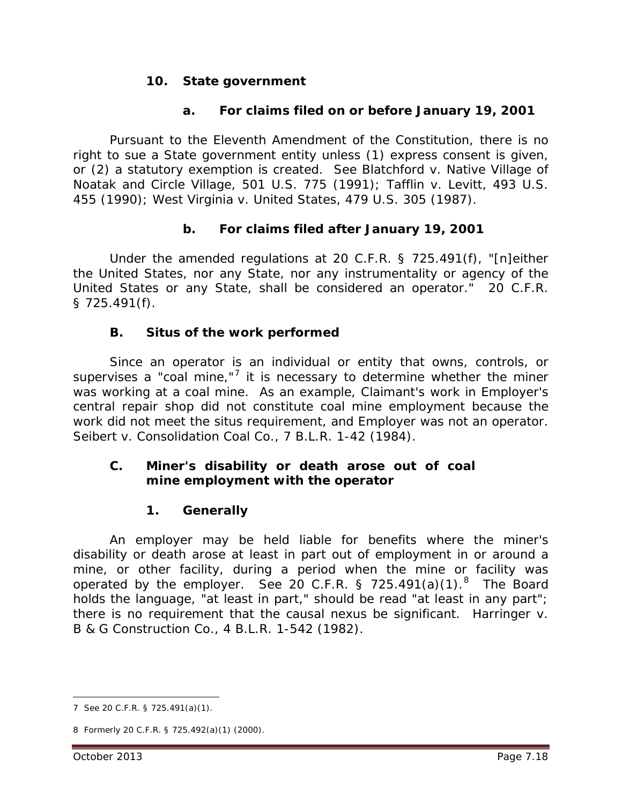#### **10. State government**

#### **a. For claims filed on or before January 19, 2001**

Pursuant to the Eleventh Amendment of the Constitution, there is no right to sue a State government entity unless (1) express consent is given, or (2) a statutory exemption is created. *See Blatchford v. Native Village of Noatak and Circle Village*, 501 U.S. 775 (1991); *Tafflin v. Levitt*, 493 U.S. 455 (1990); *West Virginia v. United States*, 479 U.S. 305 (1987).

#### **b. For claims filed after January 19, 2001**

Under the amended regulations at 20 C.F.R. § 725.491(f), "[n]either the United States, nor any State, nor any instrumentality or agency of the United States or any State, shall be considered an operator." 20 C.F.R. § 725.491(f).

#### **B. Situs of the work performed**

Since an operator is an individual or entity that owns, controls, or supervises a "coal mine," $7$  it is necessary to determine whether the miner was working at a coal mine. As an example, Claimant's work in Employer's central repair shop did not constitute coal mine employment because the work did not meet the situs requirement, and Employer was not an operator. *Seibert v. Consolidation Coal Co.*, 7 B.L.R. 1-42 (1984).

#### **C. Miner's disability or death arose out of coal mine employment with the operator**

# **1. Generally**

An employer may be held liable for benefits where the miner's disability or death arose at least in part out of employment in or around a mine, or other facility, during a period when the mine or facility was operated by the employer. *See* 20 C.F.R. § 725.491(a)(1). [8](#page-17-1) The Board holds the language, "at least in part," should be read "at least in any part"; there is no requirement that the causal nexus be significant. *Harringer v. B & G Construction Co.*, 4 B.L.R. 1-542 (1982).

<span id="page-17-0"></span><sup>7</sup> *See* 20 C.F.R. § 725.491(a)(1).  $\overline{a}$ 

<span id="page-17-1"></span><sup>8</sup> Formerly 20 C.F.R. § 725.492(a)(1) (2000).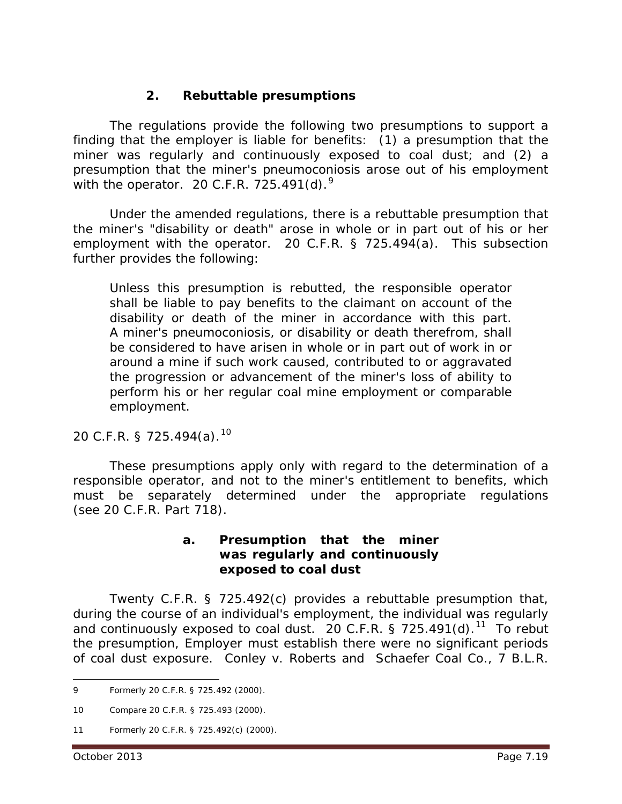# **2. Rebuttable presumptions**

The regulations provide the following two presumptions to support a finding that the employer is liable for benefits: (1) a presumption that the miner was regularly and continuously exposed to coal dust; and (2) a presumption that the miner's pneumoconiosis arose out of his employment with the operator. 20 C.F.R. 725.4[9](#page-18-0)1(d).<sup>9</sup>

Under the amended regulations, there is a rebuttable presumption that the miner's "disability or death" arose in whole or in part out of his or her employment with the operator. 20 C.F.R. § 725.494(a). This subsection further provides the following:

Unless this presumption is rebutted, the responsible operator shall be liable to pay benefits to the claimant on account of the disability or death of the miner in accordance with this part. A miner's pneumoconiosis, or disability or death therefrom, shall be considered to have arisen in whole or in part out of work in or around a mine if such work caused, contributed to or aggravated the progression or advancement of the miner's loss of ability to perform his or her regular coal mine employment or comparable employment.

20 C.F.R. § 725.494(a). [10](#page-18-1) 

These presumptions apply only with regard to the determination of a responsible operator, and *not* to the miner's entitlement to benefits, which must be separately determined under the appropriate regulations (*see* 20 C.F.R. Part 718).

#### **a. Presumption that the miner was regularly and continuously exposed to coal dust**

Twenty C.F.R. § 725.492(c) provides a rebuttable presumption that, during the course of an individual's employment, the individual was regularly and continuously exposed to coal dust. 20 C.F.R. § 725.491(d). $11$  To rebut the presumption, Employer must establish there were *no* significant periods of coal dust exposure. *Conley v. Roberts and Schaefer Coal Co.*, 7 B.L.R.

<span id="page-18-0"></span><sup>9</sup> Formerly 20 C.F.R. § 725.492 (2000).  $\overline{a}$ 

<span id="page-18-1"></span><sup>10</sup> *Compare* 20 C.F.R. § 725.493 (2000).

<span id="page-18-2"></span><sup>11</sup> Formerly 20 C.F.R. § 725.492(c) (2000).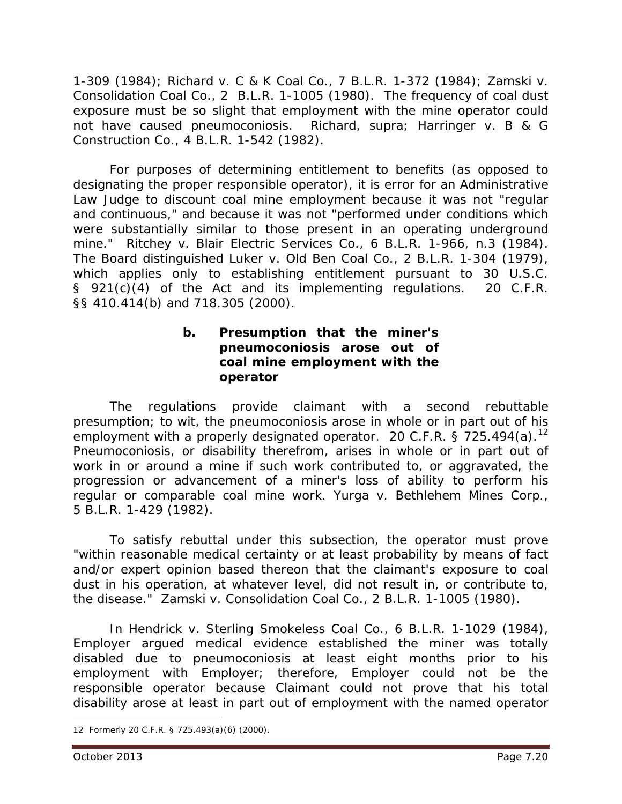1-309 (1984); *Richard v. C & K Coal Co.*, 7 B.L.R. 1-372 (1984); *Zamski v. Consolidation Coal Co.*, 2 B.L.R. 1-1005 (1980). The frequency of coal dust exposure must be so slight that employment with the mine operator could not have caused pneumoconiosis. *Richard*, *supra; Harringer v. B & G Construction Co.*, 4 B.L.R. 1-542 (1982).

For purposes of determining entitlement to benefits (as opposed to designating the proper responsible operator), it is error for an Administrative Law Judge to discount coal mine employment because it was not "regular and continuous," and because it was not "performed under conditions which were substantially similar to those present in an operating underground mine." *Ritchey v. Blair Electric Services Co*., 6 B.L.R. 1-966, n.3 (1984). The Board distinguished *Luker v. Old Ben Coal Co.*, 2 B.L.R. 1-304 (1979), which applies only to establishing entitlement pursuant to 30 U.S.C. § 921(c)(4) of the Act and its implementing regulations. 20 C.F.R. §§ 410.414(b) and 718.305 (2000).

#### **b. Presumption that the miner's pneumoconiosis arose out of coal mine employment with the operator**

The regulations provide claimant with a second rebuttable presumption; *to wit*, the pneumoconiosis arose in whole or in part out of his employment with a properly designated operator. 20 C.F.R. § 725.494(a).<sup>[12](#page-19-0)</sup> Pneumoconiosis, or disability therefrom, arises in whole or in part out of work in or around a mine if such work contributed to, or aggravated, the progression or advancement of a miner's loss of ability to perform his regular or comparable coal mine work. *Yurga v. Bethlehem Mines Corp.*, 5 B.L.R. 1-429 (1982).

To satisfy rebuttal under this subsection, the operator must prove "within reasonable medical certainty or at least probability by means of fact and/or expert opinion based thereon that the claimant's exposure to coal dust in his operation, at whatever level, did not result in, or contribute to, the disease." *Zamski v. Consolidation Coal Co.*, 2 B.L.R. 1-1005 (1980).

In *Hendrick v. Sterling Smokeless Coal Co.*, 6 B.L.R. 1-1029 (1984), Employer argued medical evidence established the miner was totally disabled due to pneumoconiosis at least eight months prior to his employment with Employer; therefore, Employer could not be the responsible operator because Claimant could not prove that his total disability arose at least in part out of employment with the named operator

<span id="page-19-0"></span><sup>12</sup> Formerly 20 C.F.R. § 725.493(a)(6) (2000).  $\overline{a}$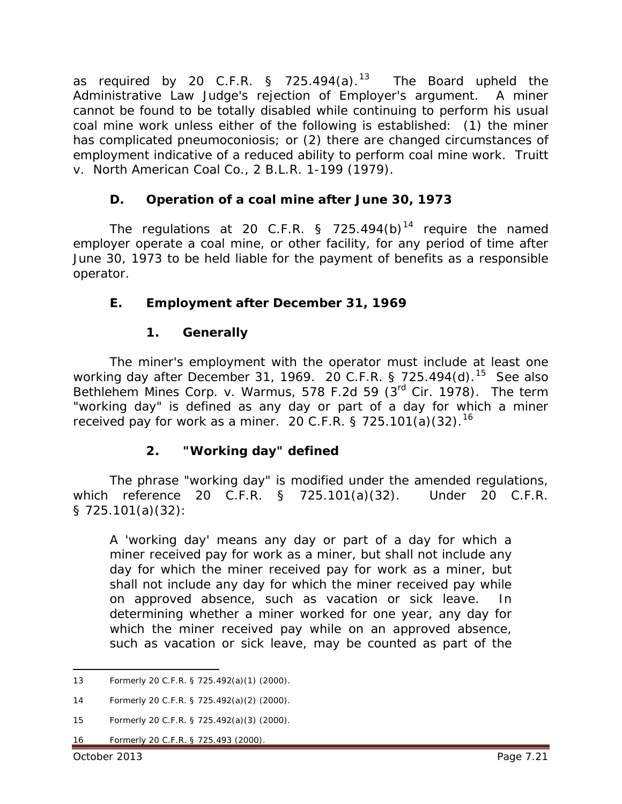as required by 20 C.F.R. § 725.494 $(a)$ .<sup>13</sup> The Board upheld the Administrative Law Judge's rejection of Employer's argument. A miner cannot be found to be totally disabled while continuing to perform his usual coal mine work unless either of the following is established: (1) the miner has complicated pneumoconiosis; or (2) there are changed circumstances of employment indicative of a reduced ability to perform coal mine work. *Truitt v. North American Coal Co.*, 2 B.L.R. 1-199 (1979).

# **D. Operation of a coal mine after June 30, 1973**

The regulations at 20 C.F.R. § 725.494(b)<sup>[14](#page-20-1)</sup> require the named employer operate a coal mine, or other facility, for any period of time after June 30, 1973 to be held liable for the payment of benefits as a responsible operator.

# **E. Employment after December 31, 1969**

#### **1. Generally**

The miner's employment with the operator must include at least one working day after December 31, 1969. 20 C.F.R. § 725.494(d). [15](#page-20-2) *See also Bethlehem Mines Corp. v. Warmus*, 578 F.2d 59 (3rd Cir. 1978). The term "working day" is defined as any day or part of a day for which a miner received pay for work as a miner. 20 C.F.R. § 725.101(a)(32).<sup>[16](#page-20-3)</sup>

# **2. "Working day" defined**

The phrase "working day" is modified under the amended regulations, which reference 20 C.F.R. § 725.101(a)(32). Under 20 C.F.R. § 725.101(a)(32):

A 'working day' means any day or part of a day for which a miner received pay for work as a miner, but shall not include any day for which the miner received pay for work as a miner, but shall not include any day for which the miner received pay while on approved absence, such as vacation or sick leave. In determining whether a miner worked for one year, any day for which the miner received pay while on an approved absence, such as vacation or sick leave, may be counted as part of the

<span id="page-20-3"></span>16 Formerly 20 C.F.R. § 725.493 (2000).

<span id="page-20-0"></span><sup>13</sup> Formerly 20 C.F.R. § 725.492(a)(1) (2000).  $\overline{a}$ 

<span id="page-20-1"></span><sup>14</sup> Formerly 20 C.F.R. § 725.492(a)(2) (2000).

<span id="page-20-2"></span><sup>15</sup> Formerly 20 C.F.R. § 725.492(a)(3) (2000).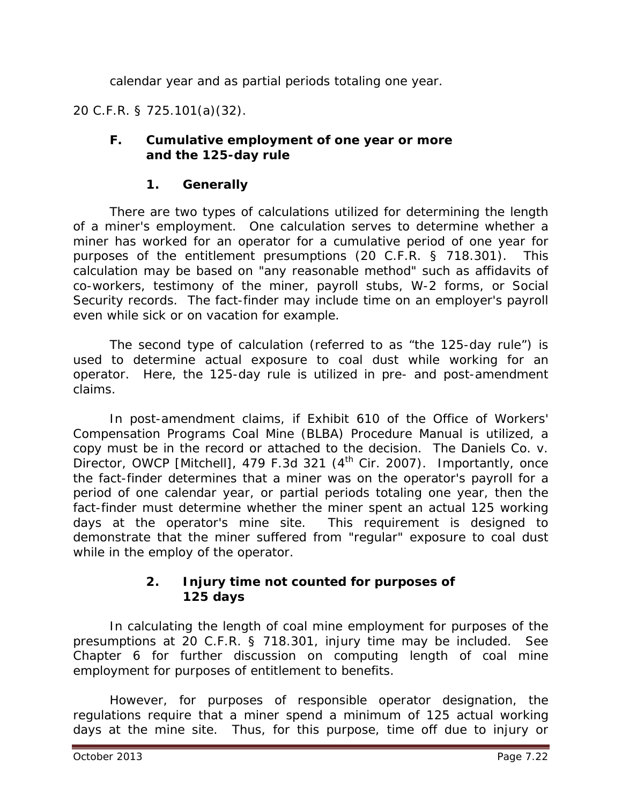calendar year and as partial periods totaling one year.

20 C.F.R. § 725.101(a)(32).

#### **F. Cumulative employment of one year or more and the 125-day rule**

# **1. Generally**

There are two types of calculations utilized for determining the length of a miner's employment. One calculation serves to determine whether a miner has worked for an operator for a cumulative period of one year for purposes of the entitlement presumptions (20 C.F.R. § 718.301). This calculation may be based on "any reasonable method" such as affidavits of co-workers, testimony of the miner, payroll stubs, W-2 forms, or Social Security records. The fact-finder may include time on an employer's payroll even while sick or on vacation for example.

The second type of calculation (referred to as "the 125-day rule") is used to determine *actual exposure* to coal dust while working for an operator. Here, the 125-day rule is utilized in pre- and post-amendment claims.

In post-amendment claims, if Exhibit 610 of the *Office of Workers' Compensation Programs Coal Mine (BLBA) Procedure Manual* is utilized, a copy must be in the record or attached to the decision. *The Daniels Co. v. Director, OWCP [Mitchell]*, 479 F.3d 321 (4<sup>th</sup> Cir. 2007). Importantly, once the fact-finder determines that a miner was on the operator's payroll for a period of one calendar year, or partial periods totaling one year, then the fact-finder must determine whether the miner spent an actual 125 working days at the operator's mine site. This requirement is designed to demonstrate that the miner suffered from "regular" exposure to coal dust while in the employ of the operator.

#### **2. Injury time not counted for purposes of 125 days**

In calculating the length of coal mine employment for purposes of the presumptions at 20 C.F.R. § 718.301, injury time may be included. *See* Chapter 6 for further discussion on computing length of coal mine employment for purposes of entitlement to benefits.

However, for purposes of responsible operator designation, the regulations require that a miner spend a minimum of 125 actual working days at the mine site. Thus, for this purpose, time off due to injury or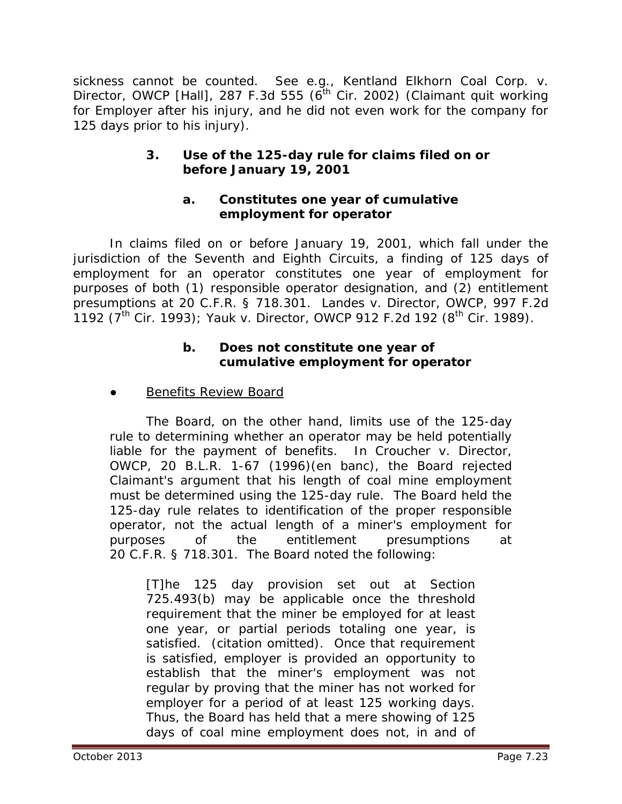sickness cannot be counted. *See e.g., Kentland Elkhorn Coal Corp. v. Director, OWCP [Hall]*, 287 F.3d 555 (6<sup>th</sup> Cir. 2002) (Claimant quit working for Employer after his injury, and he did not even work for the company for 125 days prior to his injury).

# **3. Use of the 125-day rule for claims filed on or before January 19, 2001**

#### **a. Constitutes one year of cumulative employment for operator**

In claims filed on or before January 19, 2001, which fall under the jurisdiction of the Seventh and Eighth Circuits, a finding of 125 days of employment for an operator constitutes one year of employment for purposes of both (1) responsible operator designation, and (2) entitlement presumptions at 20 C.F.R. § 718.301. *Landes v. Director, OWCP*, 997 F.2d 1192 (7th Cir. 1993); *Yauk v. Director, OWCP* 912 F.2d 192 (8th Cir. 1989).

#### **b. Does not constitute one year of cumulative employment for operator**

**Benefits Review Board** 

The Board, on the other hand, limits use of the 125-day rule to determining whether an operator may be held potentially liable for the payment of benefits. In *Croucher v. Director, OWCP*, 20 B.L.R. 1-67 (1996)(*en banc*), the Board rejected Claimant's argument that his length of coal mine employment must be determined using the 125-day rule. The Board held the 125-day rule relates to identification of the proper responsible operator, not the actual length of a miner's employment for purposes of the entitlement presumptions at 20 C.F.R. § 718.301. The Board noted the following:

[T]he 125 day provision set out at Section 725.493(b) may be applicable once the threshold requirement that the miner be employed for at least one year, or partial periods totaling one year, is satisfied. (citation omitted). Once that requirement is satisfied, employer is provided an opportunity to establish that the miner's employment was not regular by proving that the miner has not worked for employer for a period of at least 125 working days. Thus, the Board has held that a mere showing of 125 days of coal mine employment does not, in and of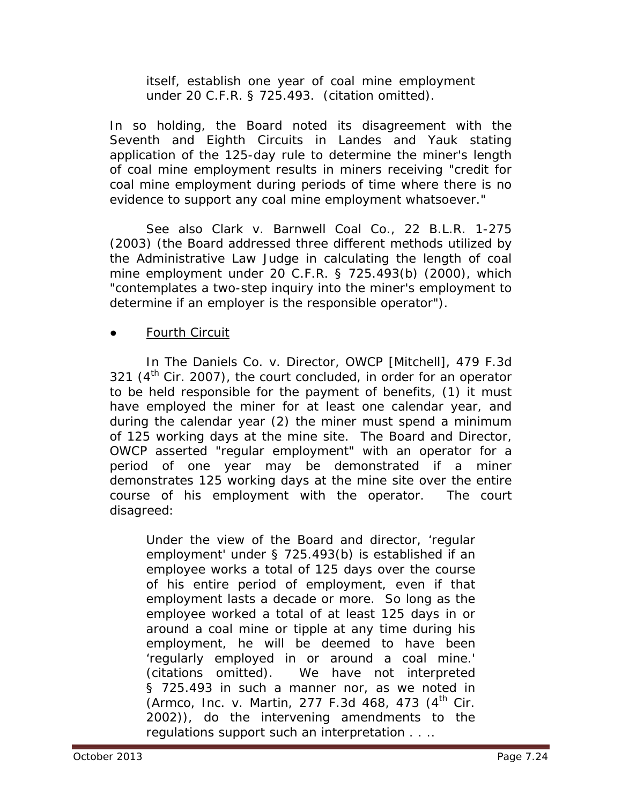itself, establish one year of coal mine employment under 20 C.F.R. § 725.493. (citation omitted).

In so holding, the Board noted its disagreement with the Seventh and Eighth Circuits in *Landes* and *Yauk* stating application of the 125-day rule to determine the miner's length of coal mine employment results in miners receiving "credit for coal mine employment during periods of time where there is no evidence to support any coal mine employment whatsoever."

*See also Clark v. Barnwell Coal Co.*, 22 B.L.R. 1-275 (2003) (the Board addressed three different methods utilized by the Administrative Law Judge in calculating the length of coal mine employment under 20 C.F.R. § 725.493(b) (2000), which "contemplates a two-step inquiry into the miner's employment to determine if an employer is the responsible operator").

#### Fourth Circuit

In *The Daniels Co. v. Director, OWCP [Mitchell]*, 479 F.3d 321  $(4<sup>th</sup>$  Cir. 2007), the court concluded, in order for an operator to be held responsible for the payment of benefits, (1) it must have employed the miner for at least one calendar year, and during the calendar year (2) the miner must spend a minimum of 125 working days at the mine site. The Board and Director, OWCP asserted "regular employment" with an operator for a period of one year may be demonstrated if a miner demonstrates 125 working days at the mine site over the entire course of his employment with the operator. The court disagreed:

Under the view of the Board and director, 'regular employment' under § 725.493(b) is established if an employee works a total of 125 days over the course of his entire period of employment, even if that employment lasts a decade or more. So long as the employee worked a total of at least 125 days in or around a coal mine or tipple at *any* time during his employment, he will be deemed to have been 'regularly employed in or around a coal mine.' (citations omitted). We have not interpreted § 725.493 in such a manner nor, as we noted in (Armco, Inc. v. Martin, 277 F.3d 468, 473 (4<sup>th</sup> Cir. 2002)), do the intervening amendments to the regulations support such an interpretation . . ..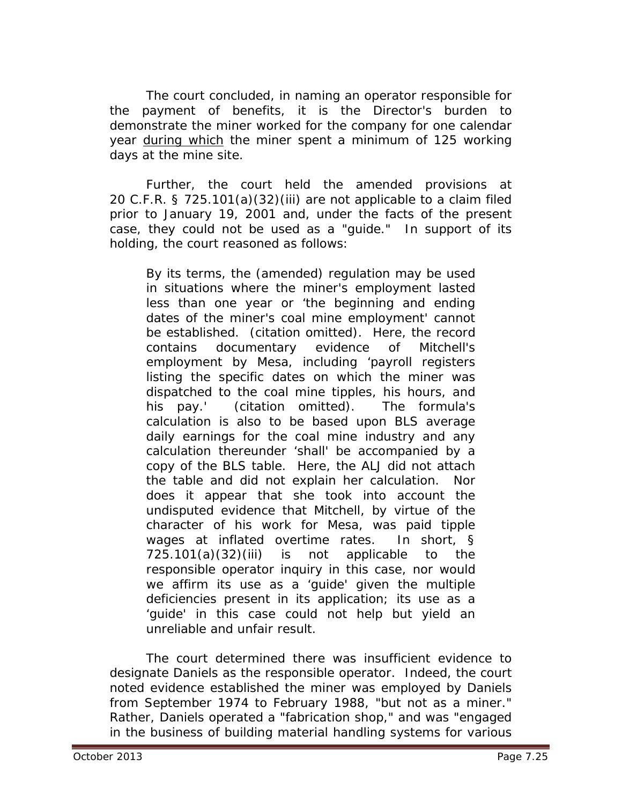The court concluded, in naming an operator responsible for the payment of benefits, it is the Director's burden to demonstrate the miner worked for the company for one calendar year *during which* the miner spent a minimum of 125 working days at the mine site.

Further, the court held the amended provisions at 20 C.F.R. § 725.101(a)(32)(iii) are not applicable to a claim filed prior to January 19, 2001 and, under the facts of the present case, they could not be used as a "guide." In support of its holding, the court reasoned as follows:

By its terms, the (amended) regulation may be used in situations where the miner's employment lasted less than one year or 'the beginning and ending dates of the miner's coal mine employment' cannot be established. (citation omitted). Here, the record contains documentary evidence of Mitchell's employment by Mesa, including 'payroll registers listing the specific dates on which the miner was dispatched to the coal mine tipples, his hours, and his pay.' (citation omitted). The formula's calculation is also to be based upon BLS average daily earnings for the coal mine industry and any calculation thereunder 'shall' be accompanied by a copy of the BLS table. Here, the ALJ did not attach the table and did not explain her calculation. Nor does it appear that she took into account the undisputed evidence that Mitchell, by virtue of the character of his work for Mesa, was paid tipple wages at inflated overtime rates. In short, § 725.101(a)(32)(iii) is not applicable to the responsible operator inquiry in this case, nor would we affirm its use as a 'guide' given the multiple deficiencies present in its application; its use as a 'guide' in this case could not help but yield an unreliable and unfair result.

The court determined there was insufficient evidence to designate Daniels as the responsible operator. Indeed, the court noted evidence established the miner was employed by Daniels from September 1974 to February 1988, "but not as a miner." Rather, Daniels operated a "fabrication shop," and was "engaged in the business of building material handling systems for various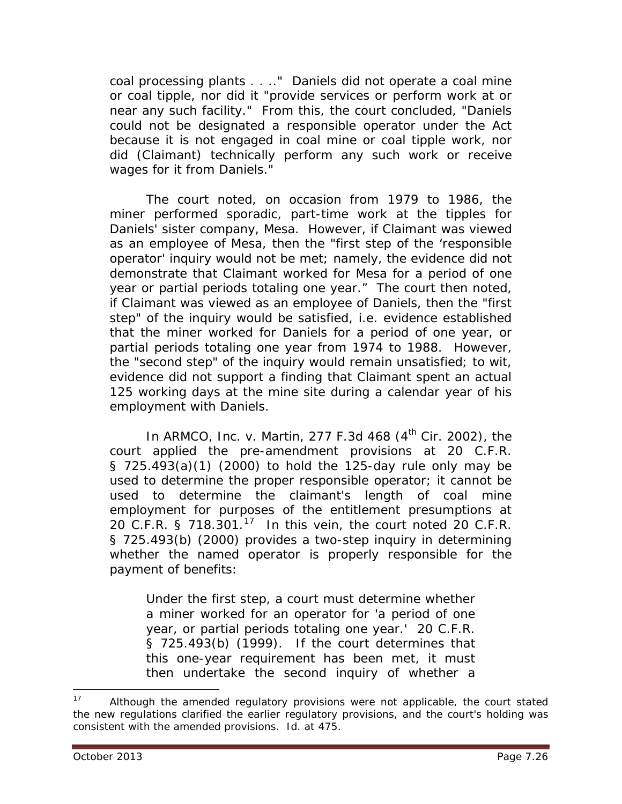coal processing plants . . .." Daniels did not operate a coal mine or coal tipple, nor did it "provide services or perform work at or near any such facility." From this, the court concluded, "Daniels could not be designated a responsible operator under the Act because it is not engaged in coal mine or coal tipple work, nor did (Claimant) technically perform any such work or receive wages for it from Daniels."

The court noted, on occasion from 1979 to 1986, the miner performed sporadic, part-time work at the tipples for Daniels' sister company, Mesa. However, if Claimant was viewed as an employee of Mesa, then the "first step of the 'responsible operator' inquiry would not be met; namely, the evidence did not demonstrate that Claimant worked for Mesa for a period of one year or partial periods totaling one year." The court then noted, if Claimant was viewed as an employee of Daniels, then the "first step" of the inquiry would be satisfied, *i.e.* evidence established that the miner worked for Daniels for a period of one year, or partial periods totaling one year from 1974 to 1988. However, the "second step" of the inquiry would remain unsatisfied; *to wit*, evidence did not support a finding that Claimant spent an actual 125 working days at the mine site *during* a calendar year of his employment with Daniels.

In *ARMCO, Inc. v. Martin*, 277 F.3d 468 (4th Cir. 2002), the court applied the pre-amendment provisions at 20 C.F.R. § 725.493(a)(1) (2000) to hold the 125-day rule only may be used to determine the proper responsible operator; it cannot be used to determine the claimant's length of coal mine employment for purposes of the entitlement presumptions at 20 C.F.R. § 718.301. $^{17}$  In this vein, the court noted 20 C.F.R. § 725.493(b) (2000) provides a two-step inquiry in determining whether the named operator is properly responsible for the payment of benefits:

Under the first step, a court must determine whether a miner worked for an operator for 'a period of one year, or partial periods totaling one year.' 20 C.F.R. § 725.493(b) (1999). If the court determines that this one-year requirement has been met, it must then undertake the second inquiry of whether a

 $\overline{a}$ 

<span id="page-25-0"></span><sup>&</sup>lt;sup>17</sup> Although the amended regulatory provisions were not applicable, the court stated the new regulations clarified the earlier regulatory provisions, and the court's holding was consistent with the amended provisions. *Id.* at 475.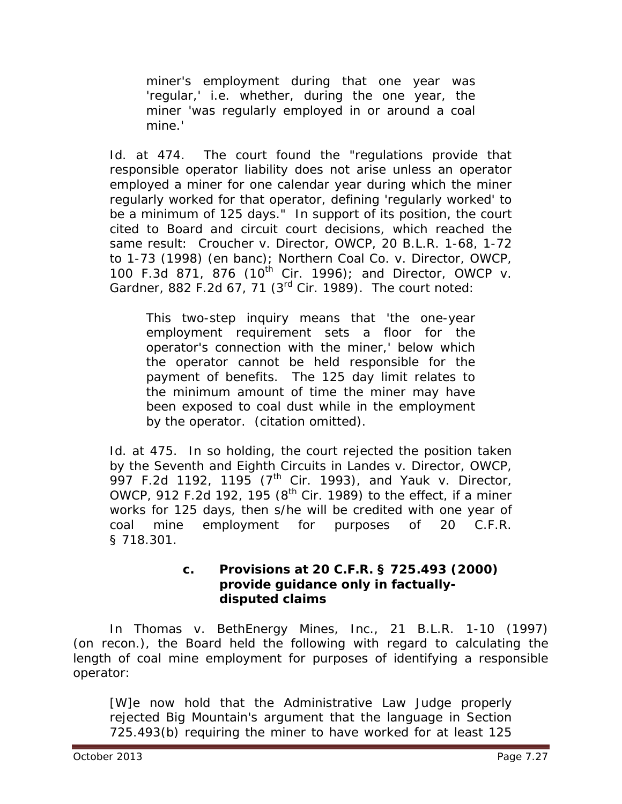miner's employment during that one year was 'regular,' *i.e.* whether, during the one year, the miner 'was regularly employed in or around a coal mine.'

*Id.* at 474. The court found the "regulations provide that responsible operator liability does not arise unless an operator employed a miner for one calendar year during which the miner regularly worked for that operator, defining 'regularly worked' to be a minimum of 125 days." In support of its position, the court cited to Board and circuit court decisions, which reached the same result: *Croucher v. Director, OWCP*, 20 B.L.R. 1-68, 1-72 to 1-73 (1998) (en banc); *Northern Coal Co. v. Director, OWCP*, 100 F.3d 871, 876 (10th Cir. 1996); and *Director, OWCP v. Gardner*, 882 F.2d 67, 71 (3rd Cir. 1989). The court noted:

This two-step inquiry means that 'the one-year employment requirement sets a floor for the operator's connection with the miner,' below which the operator cannot be held responsible for the payment of benefits. The 125 day limit relates to the minimum amount of time the miner may have been exposed to coal dust while in the employment by the operator. (citation omitted).

*Id.* at 475. In so holding, the court rejected the position taken by the Seventh and Eighth Circuits in *Landes v. Director, OWCP*, 997 F.2d 1192, 1195 (7th Cir. 1993), and *Yauk v. Director, OWCP*, 912 F.2d 192, 195 ( $8<sup>th</sup>$  Cir. 1989) to the effect, if a miner works for 125 days, then s/he will be credited with one year of coal mine employment for purposes of 20 C.F.R. § 718.301.

#### **c. Provisions at 20 C.F.R. § 725.493 (2000) provide guidance only in factuallydisputed claims**

In *Thomas v. BethEnergy Mines, Inc.*, 21 B.L.R. 1-10 (1997) (on recon.), the Board held the following with regard to calculating the length of coal mine employment for purposes of identifying a responsible operator:

[W]e now hold that the Administrative Law Judge properly rejected Big Mountain's argument that the language in Section 725.493(b) requiring the miner to have worked for at least 125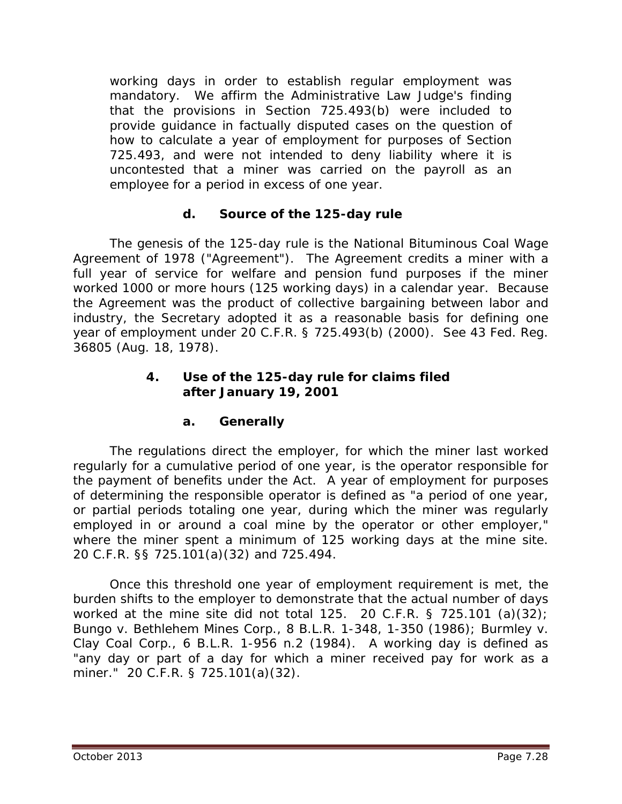working days in order to establish regular employment was mandatory. We affirm the Administrative Law Judge's finding that the provisions in Section 725.493(b) were included to provide guidance in factually disputed cases on the question of how to calculate a year of employment for purposes of Section 725.493, and were not intended to deny liability where it is uncontested that a miner was carried on the payroll as an employee for a period in excess of one year.

# **d. Source of the 125-day rule**

The genesis of the 125-day rule is the National Bituminous Coal Wage Agreement of 1978 ("Agreement"). The Agreement credits a miner with a full year of service for welfare and pension fund purposes if the miner worked 1000 or more hours (125 working days) in a calendar year. Because the Agreement was the product of collective bargaining between labor and industry, the Secretary adopted it as a reasonable basis for defining one year of employment under 20 C.F.R. § 725.493(b) (2000). *See* 43 Fed. Reg. 36805 (Aug. 18, 1978).

#### **4. Use of the 125-day rule for claims filed after January 19, 2001**

# **a. Generally**

The regulations direct the employer, for which the miner last worked regularly for a cumulative period of one year, is the operator responsible for the payment of benefits under the Act. A year of employment for purposes of determining the responsible operator is defined as "a period of one year, or partial periods totaling one year, during which the miner was regularly employed in or around a coal mine by the operator or other employer," where the miner spent a minimum of 125 working days at the mine site. 20 C.F.R. §§ 725.101(a)(32) and 725.494.

Once this threshold one year of employment requirement is met, the burden shifts to the employer to demonstrate that the actual number of days worked at the mine site did not total 125. 20 C.F.R. § 725.101 (a)(32); *Bungo v. Bethlehem Mines Corp.*, 8 B.L.R. 1-348, 1-350 (1986); *Burmley v. Clay Coal Corp.*, 6 B.L.R. 1-956 n.2 (1984). A working day is defined as "any day or part of a day for which a miner received pay for work as a miner." 20 C.F.R. § 725.101(a)(32).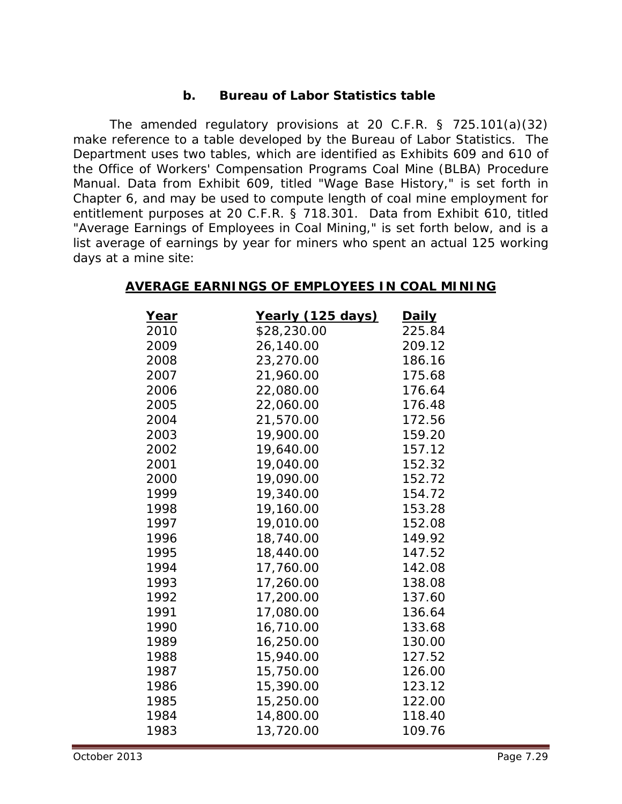#### **b. Bureau of Labor Statistics table**

The amended regulatory provisions at 20 C.F.R. § 725.101(a)(32) make reference to a table developed by the *Bureau of Labor Statistics*. The Department uses two tables, which are identified as Exhibits 609 and 610 of the *Office of Workers' Compensation Programs Coal Mine (BLBA) Procedure Manual*. Data from Exhibit 609, titled "Wage Base History," is set forth in Chapter 6, and may be used to compute length of coal mine employment for entitlement purposes at 20 C.F.R. § 718.301. Data from Exhibit 610, titled "Average Earnings of Employees in Coal Mining," is set forth below, and is a list average of earnings by year for miners who spent an *actual* 125 working days at a mine site:

| <u>Year</u> | Yearly (125 days) | <u>Daily</u> |
|-------------|-------------------|--------------|
| 2010        | \$28,230.00       | 225.84       |
| 2009        | 26,140.00         | 209.12       |
| 2008        | 23,270.00         | 186.16       |
| 2007        | 21,960.00         | 175.68       |
| 2006        | 22,080.00         | 176.64       |
| 2005        | 22,060.00         | 176.48       |
| 2004        | 21,570.00         | 172.56       |
| 2003        | 19,900.00         | 159.20       |
| 2002        | 19,640.00         | 157.12       |
| 2001        | 19,040.00         | 152.32       |
| 2000        | 19,090.00         | 152.72       |
| 1999        | 19,340.00         | 154.72       |
| 1998        | 19,160.00         | 153.28       |
| 1997        | 19,010.00         | 152.08       |
| 1996        | 18,740.00         | 149.92       |
| 1995        | 18,440.00         | 147.52       |
| 1994        | 17,760.00         | 142.08       |
| 1993        | 17,260.00         | 138.08       |
| 1992        | 17,200.00         | 137.60       |
| 1991        | 17,080.00         | 136.64       |
| 1990        | 16,710.00         | 133.68       |
| 1989        | 16,250.00         | 130.00       |
| 1988        | 15,940.00         | 127.52       |
| 1987        | 15,750.00         | 126.00       |
| 1986        | 15,390.00         | 123.12       |
| 1985        | 15,250.00         | 122.00       |
| 1984        | 14,800.00         | 118.40       |
| 1983        | 13,720.00         | 109.76       |

#### **AVERAGE EARNINGS OF EMPLOYEES IN COAL MINING**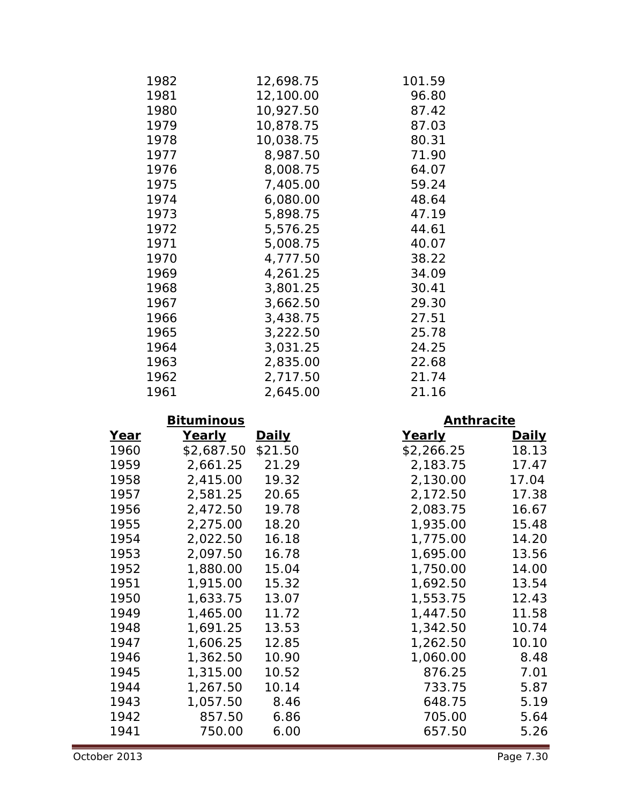| 1982 | 12,698.75 | 101.59 |
|------|-----------|--------|
| 1981 | 12,100.00 | 96.80  |
| 1980 | 10,927.50 | 87.42  |
| 1979 | 10,878.75 | 87.03  |
| 1978 | 10,038.75 | 80.31  |
| 1977 | 8,987.50  | 71.90  |
| 1976 | 8,008.75  | 64.07  |
| 1975 | 7,405.00  | 59.24  |
| 1974 | 6,080.00  | 48.64  |
| 1973 | 5,898.75  | 47.19  |
| 1972 | 5,576.25  | 44.61  |
| 1971 | 5,008.75  | 40.07  |
| 1970 | 4,777.50  | 38.22  |
| 1969 | 4,261.25  | 34.09  |
| 1968 | 3,801.25  | 30.41  |
| 1967 | 3,662.50  | 29.30  |
| 1966 | 3,438.75  | 27.51  |
| 1965 | 3,222.50  | 25.78  |
| 1964 | 3,031.25  | 24.25  |
| 1963 | 2,835.00  | 22.68  |
| 1962 | 2,717.50  | 21.74  |
| 1961 | 2,645.00  | 21.16  |

# **Bituminous Anthracite**

| <u>Year</u> | <u>Yearly</u> | <u>Daily</u> | <u>Yearly</u> | <b>Daily</b> |
|-------------|---------------|--------------|---------------|--------------|
| 1960        | \$2,687.50    | \$21.50      | \$2,266.25    | 18.13        |
| 1959        | 2,661.25      | 21.29        | 2,183.75      | 17.47        |
| 1958        | 2,415.00      | 19.32        | 2,130.00      | 17.04        |
| 1957        | 2,581.25      | 20.65        | 2,172.50      | 17.38        |
| 1956        | 2,472.50      | 19.78        | 2,083.75      | 16.67        |
| 1955        | 2,275.00      | 18.20        | 1,935.00      | 15.48        |
| 1954        | 2,022.50      | 16.18        | 1,775.00      | 14.20        |
| 1953        | 2,097.50      | 16.78        | 1,695.00      | 13.56        |
| 1952        | 1,880.00      | 15.04        | 1,750.00      | 14.00        |
| 1951        | 1,915.00      | 15.32        | 1,692.50      | 13.54        |
| 1950        | 1,633.75      | 13.07        | 1,553.75      | 12.43        |
| 1949        | 1,465.00      | 11.72        | 1,447.50      | 11.58        |
| 1948        | 1,691.25      | 13.53        | 1,342.50      | 10.74        |
| 1947        | 1,606.25      | 12.85        | 1,262.50      | 10.10        |
| 1946        | 1,362.50      | 10.90        | 1,060.00      | 8.48         |
| 1945        | 1,315.00      | 10.52        | 876.25        | 7.01         |
| 1944        | 1,267.50      | 10.14        | 733.75        | 5.87         |
| 1943        | 1,057.50      | 8.46         | 648.75        | 5.19         |
| 1942        | 857.50        | 6.86         | 705.00        | 5.64         |
| 1941        | 750.00        | 6.00         | 657.50        | 5.26         |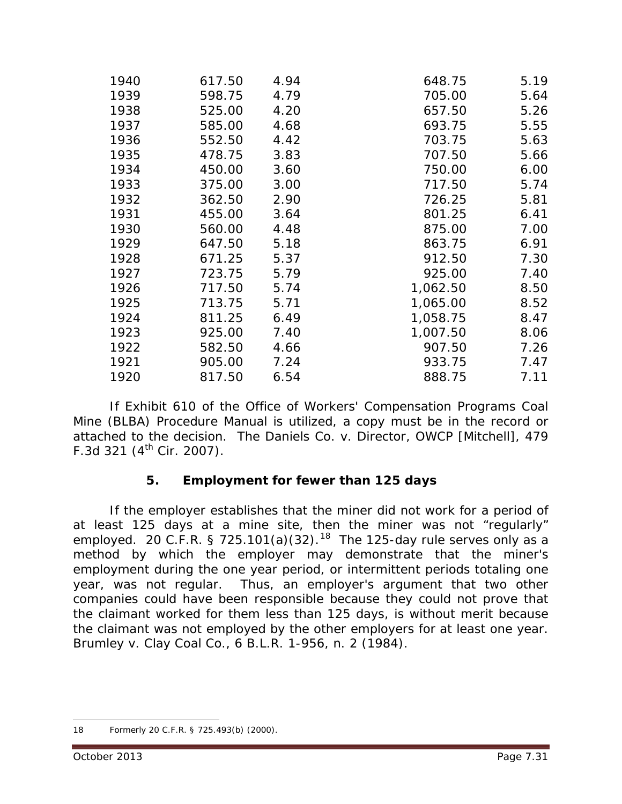| 1940 | 617.50 | 4.94 | 648.75   | 5.19 |
|------|--------|------|----------|------|
| 1939 | 598.75 | 4.79 | 705.00   | 5.64 |
| 1938 | 525.00 | 4.20 | 657.50   | 5.26 |
| 1937 | 585.00 | 4.68 | 693.75   | 5.55 |
| 1936 | 552.50 | 4.42 | 703.75   | 5.63 |
| 1935 | 478.75 | 3.83 | 707.50   | 5.66 |
| 1934 | 450.00 | 3.60 | 750.00   | 6.00 |
| 1933 | 375.00 | 3.00 | 717.50   | 5.74 |
| 1932 | 362.50 | 2.90 | 726.25   | 5.81 |
| 1931 | 455.00 | 3.64 | 801.25   | 6.41 |
| 1930 | 560.00 | 4.48 | 875.00   | 7.00 |
| 1929 | 647.50 | 5.18 | 863.75   | 6.91 |
| 1928 | 671.25 | 5.37 | 912.50   | 7.30 |
| 1927 | 723.75 | 5.79 | 925.00   | 7.40 |
| 1926 | 717.50 | 5.74 | 1,062.50 | 8.50 |
| 1925 | 713.75 | 5.71 | 1,065.00 | 8.52 |
| 1924 | 811.25 | 6.49 | 1,058.75 | 8.47 |
| 1923 | 925.00 | 7.40 | 1,007.50 | 8.06 |
| 1922 | 582.50 | 4.66 | 907.50   | 7.26 |
| 1921 | 905.00 | 7.24 | 933.75   | 7.47 |
| 1920 | 817.50 | 6.54 | 888.75   | 7.11 |

If Exhibit 610 of the *Office of Workers' Compensation Programs Coal Mine (BLBA) Procedure Manual* is utilized, a copy must be in the record or attached to the decision. *The Daniels Co. v. Director, OWCP [Mitchell]*, 479 F.3d 321 ( $4^{th}$  Cir. 2007).

# **5. Employment for fewer than 125 days**

If the employer establishes that the miner did not work for a period of at least 125 days at a mine site, then the miner was not "regularly" employed. 20 C.F.R. § 725.101(a)(32).<sup>18</sup> The 125-day rule serves only as a method by which the employer may demonstrate that the miner's employment during the one year period, or intermittent periods totaling one year, was not regular. Thus, an employer's argument that two other companies could have been responsible because they could not prove that the claimant worked for them less than 125 days, is without merit because the claimant was not employed by the other employers for at least one year. *Brumley v. Clay Coal Co.*, 6 B.L.R. 1-956, n. 2 (1984).

<span id="page-30-0"></span><sup>18</sup> Formerly 20 C.F.R. § 725.493(b) (2000).  $\overline{a}$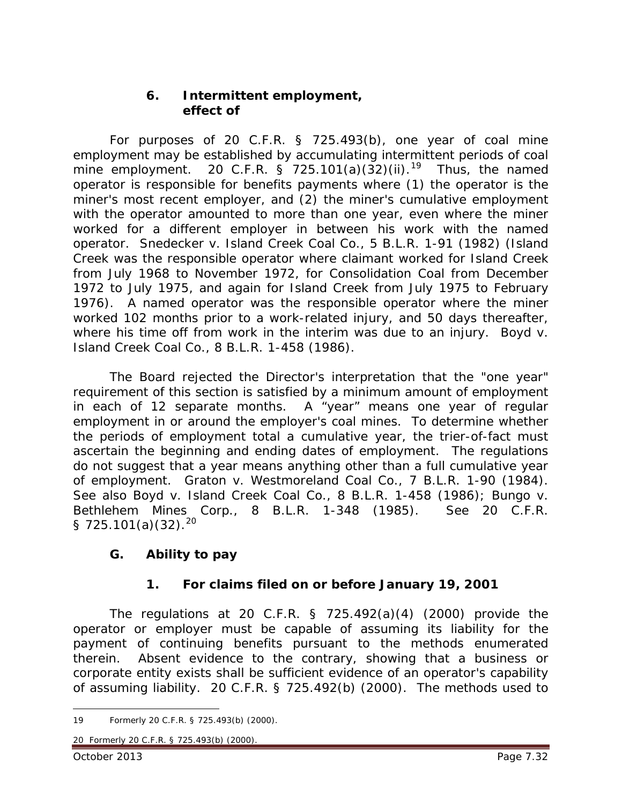#### **6. Intermittent employment, effect of**

For purposes of 20 C.F.R. § 725.493(b), one year of coal mine employment may be established by accumulating intermittent periods of coal mine employment. 20 C.F.R.  $\frac{1}{5}$  725.101(a)(32)(ii).<sup>19</sup> Thus, the named operator is responsible for benefits payments where (1) the operator is the miner's most recent employer, and (2) the miner's cumulative employment with the operator amounted to more than one year, even where the miner worked for a different employer in between his work with the named operator. *Snedecker v. Island Creek Coal Co.*, 5 B.L.R. 1-91 (1982) (Island Creek was the responsible operator where claimant worked for Island Creek from July 1968 to November 1972, for Consolidation Coal from December 1972 to July 1975, and again for Island Creek from July 1975 to February 1976). A named operator was the responsible operator where the miner worked 102 months prior to a work-related injury, and 50 days thereafter, where his time off from work in the interim was due to an injury. *Boyd v. Island Creek Coal Co.*, 8 B.L.R. 1-458 (1986).

The Board rejected the Director's interpretation that the "one year" requirement of this section is satisfied by a minimum amount of employment in each of 12 separate months. A "year" means one year of regular employment in or around the employer's coal mines. To determine whether the periods of employment total a cumulative year, the trier-of-fact must ascertain the beginning and ending dates of employment. The regulations do not suggest that a year means anything other than a full cumulative year of employment. *Graton v. Westmoreland Coal Co.*, 7 B.L.R. 1-90 (1984). *See also Boyd v. Island Creek Coal Co.*, 8 B.L.R. 1-458 (1986); *Bungo v. Bethlehem Mines Corp.*, 8 B.L.R. 1-348 (1985). *See* 20 C.F.R. § 725.101(a)(32).<sup>[20](#page-31-1)</sup>

# **G. Ability to pay**

# **1. For claims filed on or before January 19, 2001**

The regulations at 20 C.F.R. § 725.492(a)(4) (2000) provide the operator or employer must be capable of assuming its liability for the payment of continuing benefits pursuant to the methods enumerated therein. Absent evidence to the contrary, showing that a business or corporate entity exists shall be sufficient evidence of an operator's capability of assuming liability. 20 C.F.R. § 725.492(b) (2000). The methods used to

<span id="page-31-1"></span>20 Formerly 20 C.F.R. § 725.493(b) (2000).

<span id="page-31-0"></span><sup>19</sup> Formerly 20 C.F.R. § 725.493(b) (2000).  $\overline{a}$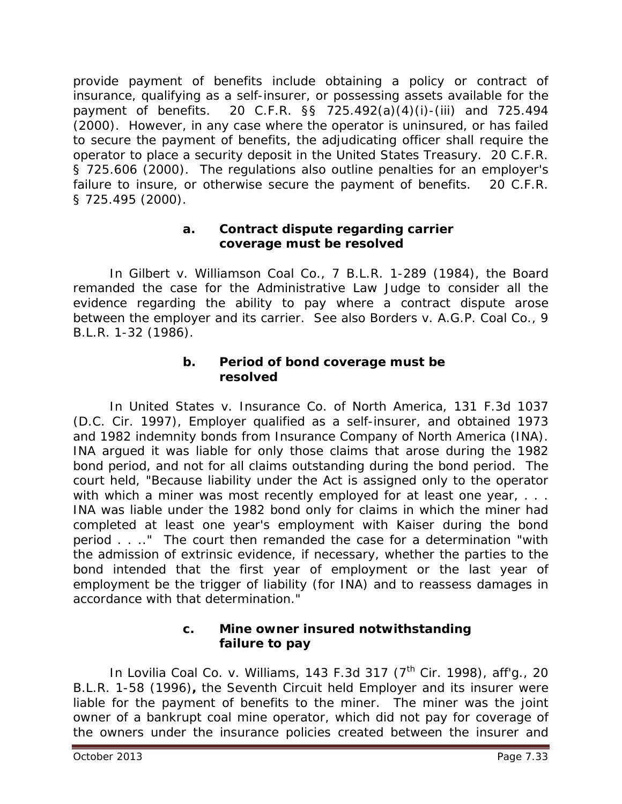provide payment of benefits include obtaining a policy or contract of insurance, qualifying as a self-insurer, or possessing assets available for the payment of benefits. 20 C.F.R. §§ 725.492(a)(4)(i)-(iii) and 725.494 (2000). However, in any case where the operator is uninsured, or has failed to secure the payment of benefits, the adjudicating officer shall require the operator to place a security deposit in the United States Treasury. 20 C.F.R. § 725.606 (2000). The regulations also outline penalties for an employer's failure to insure, or otherwise secure the payment of benefits. 20 C.F.R. § 725.495 (2000).

#### **a. Contract dispute regarding carrier coverage must be resolved**

In *Gilbert v. Williamson Coal Co.*, 7 B.L.R. 1-289 (1984), the Board remanded the case for the Administrative Law Judge to consider all the evidence regarding the ability to pay where a contract dispute arose between the employer and its carrier. *See also Borders v. A.G.P. Coal Co.*, 9 B.L.R. 1-32 (1986).

#### **b. Period of bond coverage must be resolved**

In *United States v. Insurance Co. of North America*, 131 F.3d 1037 (D.C. Cir. 1997), Employer qualified as a self-insurer, and obtained 1973 and 1982 indemnity bonds from Insurance Company of North America (INA). INA argued it was liable for only those claims that arose during the 1982 bond period, and not for all claims outstanding during the bond period. The court held, "Because liability under the Act is assigned only to the operator with which a miner was most recently employed for at least one year, . . . INA was liable under the 1982 bond only for claims in which the miner had completed at least one year's employment with Kaiser during the bond period . . .." The court then remanded the case for a determination "with the admission of extrinsic evidence, if necessary, whether the parties to the bond intended that the first year of employment or the last year of employment be the trigger of liability (for INA) and to reassess damages in accordance with that determination."

#### **c. Mine owner insured notwithstanding failure to pay**

In *Lovilia Coal Co. v. Williams*, 143 F.3d 317 (7th Cir. 1998), *aff'g.,* 20 B.L.R. 1-58 (1996)**,** the Seventh Circuit held Employer and its insurer were liable for the payment of benefits to the miner. The miner was the joint owner of a bankrupt coal mine operator, which did not pay for coverage of the owners under the insurance policies created between the insurer and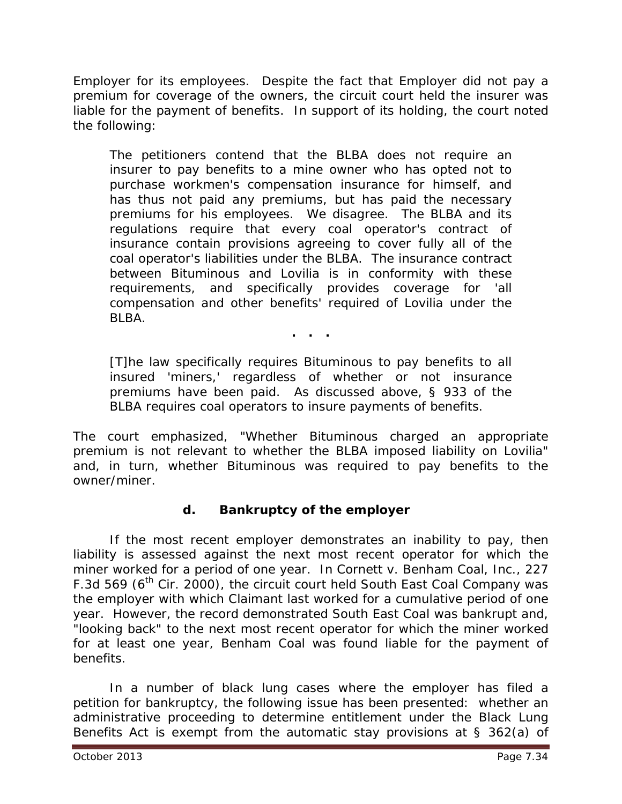Employer for its employees. Despite the fact that Employer did not pay a premium for coverage of the owners, the circuit court held the insurer was liable for the payment of benefits. In support of its holding, the court noted the following:

The petitioners contend that the BLBA does not require an insurer to pay benefits to a mine owner who has opted not to purchase workmen's compensation insurance for himself, and has thus not paid any premiums, but has paid the necessary premiums for his employees. We disagree. The BLBA and its regulations require that every coal operator's contract of insurance contain provisions agreeing to cover fully all of the coal operator's liabilities under the BLBA. The insurance contract between Bituminous and Lovilia is in conformity with these requirements, and specifically provides coverage for 'all compensation and other benefits' required of Lovilia under the BLBA.

**. . .**

[T]he law specifically requires Bituminous to pay benefits to all insured 'miners,' regardless of whether or not insurance premiums have been paid. As discussed above, § 933 of the BLBA requires coal operators to insure payments of benefits.

The court emphasized, "Whether Bituminous charged an appropriate premium is not relevant to whether the BLBA imposed liability on Lovilia" and, in turn, whether Bituminous was required to pay benefits to the owner/miner.

# **d. Bankruptcy of the employer**

If the most recent employer demonstrates an inability to pay, then liability is assessed against the next most recent operator for which the miner worked for a period of one year. In *Cornett v. Benham Coal, Inc.*, 227 F.3d 569 (6<sup>th</sup> Cir. 2000), the circuit court held South East Coal Company was the employer with which Claimant last worked for a cumulative period of one year. However, the record demonstrated South East Coal was bankrupt and, "looking back" to the next most recent operator for which the miner worked for at least one year, Benham Coal was found liable for the payment of benefits.

In a number of black lung cases where the employer has filed a petition for bankruptcy, the following issue has been presented: whether an administrative proceeding to determine entitlement under the Black Lung Benefits Act is exempt from the automatic stay provisions at § 362(a) of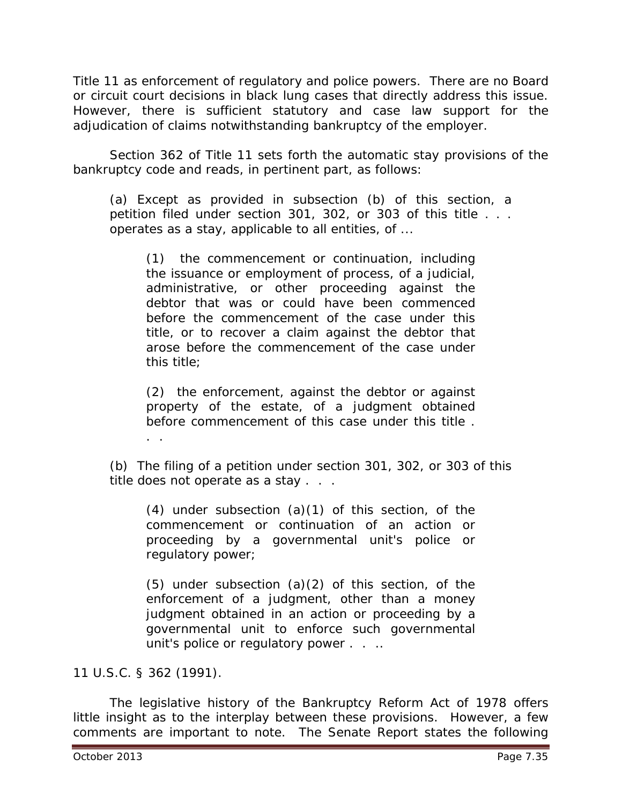Title 11 as enforcement of regulatory and police powers. There are no Board or circuit court decisions in black lung cases that directly address this issue. However, there is sufficient statutory and case law support for the adjudication of claims notwithstanding bankruptcy of the employer.

Section 362 of Title 11 sets forth the automatic stay provisions of the bankruptcy code and reads, in pertinent part, as follows:

(a) Except as provided in subsection (b) of this section, a petition filed under section 301, 302, or 303 of this title . . . operates as a stay, applicable to all entities, of ...

(1) the commencement or continuation, including the issuance or employment of process, of a judicial, administrative, or other proceeding against the debtor that was or could have been commenced before the commencement of the case under this title, or to recover a claim against the debtor that arose before the commencement of the case under this title;

(2) the enforcement, against the debtor or against property of the estate, of a judgment obtained before commencement of this case under this title . . .

(b) The filing of a petition under section 301, 302, or 303 of this title does not operate as a stay . . .

 $(4)$  under subsection  $(a)(1)$  of this section, of the commencement or continuation of an action or proceeding by a governmental unit's police or regulatory power;

(5) under subsection (a)(2) of this section, of the enforcement of a judgment, other than a money judgment obtained in an action or proceeding by a governmental unit to enforce such governmental unit's police or regulatory power . . ..

11 U.S.C. § 362 (1991).

The legislative history of the Bankruptcy Reform Act of 1978 offers little insight as to the interplay between these provisions. However, a few comments are important to note. The Senate Report states the following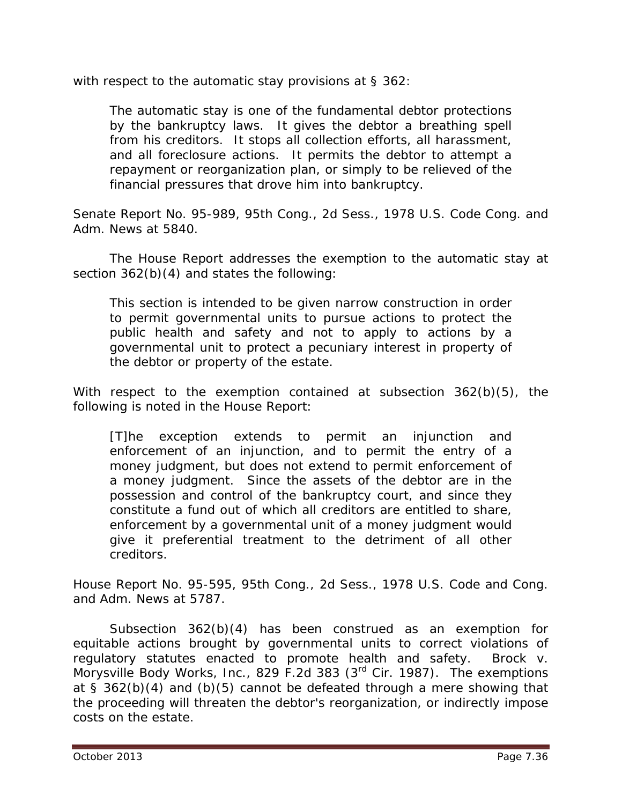with respect to the automatic stay provisions at § 362:

The automatic stay is one of the fundamental debtor protections by the bankruptcy laws. It gives the debtor a breathing spell from his creditors. It stops all collection efforts, all harassment, and all foreclosure actions. It permits the debtor to attempt a repayment or reorganization plan, or simply to be relieved of the financial pressures that drove him into bankruptcy.

Senate Report No. 95-989, 95th Cong., 2d Sess., 1978 U.S. Code Cong. and Adm. News at 5840.

The House Report addresses the exemption to the automatic stay at section 362(b)(4) and states the following:

This section is intended to be given narrow construction in order to permit governmental units to pursue actions to protect the public health and safety and not to apply to actions by a governmental unit to protect a pecuniary interest in property of the debtor or property of the estate.

With respect to the exemption contained at subsection 362(b)(5), the following is noted in the House Report:

[T]he exception extends to permit an injunction and enforcement of an injunction, and to permit the entry of a money judgment, but does not extend to permit enforcement of a money judgment. Since the assets of the debtor are in the possession and control of the bankruptcy court, and since they constitute a fund out of which all creditors are entitled to share, enforcement by a governmental unit of a money judgment would give it preferential treatment to the detriment of all other creditors.

House Report No. 95-595, 95th Cong., 2d Sess., 1978 U.S. Code and Cong. and Adm. News at 5787.

Subsection 362(b)(4) has been construed as an exemption for equitable actions brought by governmental units to correct violations of regulatory statutes enacted to promote health and safety. *Brock v. Morysville Body Works, Inc.*, 829 F.2d 383 (3rd Cir. 1987). The exemptions at  $\frac{1}{5}$  362(b)(4) and (b)(5) cannot be defeated through a mere showing that the proceeding will threaten the debtor's reorganization, or indirectly impose costs on the estate.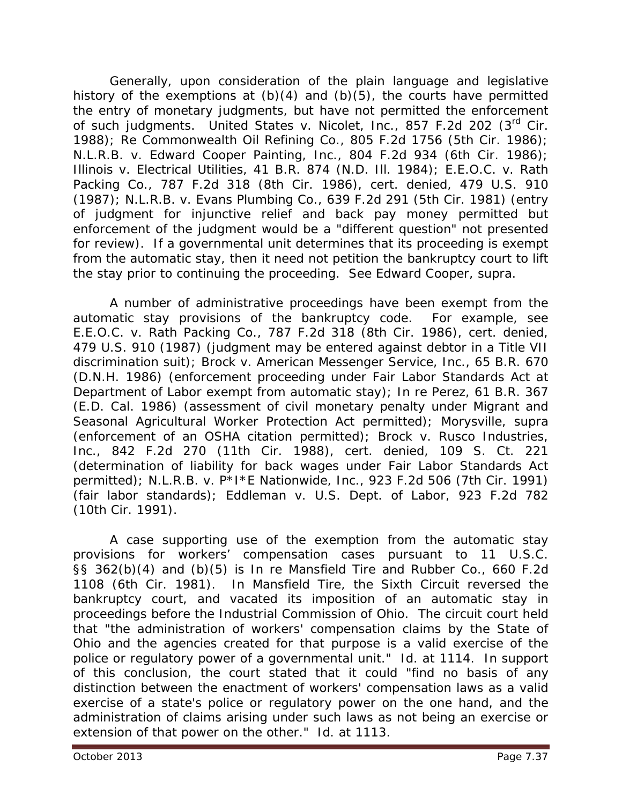Generally, upon consideration of the plain language and legislative history of the exemptions at  $(b)(4)$  and  $(b)(5)$ , the courts have permitted the entry of monetary judgments, but have not permitted the enforcement of such judgments. *United States v. Nicolet, Inc.*, 857 F.2d 202 (3rd Cir. 1988); *Re Commonwealth Oil Refining Co.*, 805 F.2d 1756 (5th Cir. 1986); *N.L.R.B. v. Edward Cooper Painting, Inc.*, 804 F.2d 934 (6th Cir. 1986); *Illinois v. Electrical Utilities*, 41 B.R. 874 (N.D. Ill. 1984); *E.E.O.C. v. Rath Packing Co.*, 787 F.2d 318 (8th Cir. 1986), *cert. denied*, 479 U.S. 910 (1987); *N.L.R.B. v. Evans Plumbing Co.*, 639 F.2d 291 (5th Cir. 1981) (entry of judgment for injunctive relief and back pay money permitted but enforcement of the judgment would be a "different question" not presented for review). If a governmental unit determines that its proceeding is exempt from the automatic stay, then it need not petition the bankruptcy court to lift the stay prior to continuing the proceeding. *See Edward Cooper*, *supra*.

A number of administrative proceedings have been exempt from the automatic stay provisions of the bankruptcy code. For example, *see E.E.O.C. v. Rath Packing Co.*, 787 F.2d 318 (8th Cir. 1986), *cert. denied*, 479 U.S. 910 (1987) (judgment may be entered against debtor in a Title VII discrimination suit); *Brock v. American Messenger Service, Inc.*, 65 B.R. 670 (D.N.H. 1986) (enforcement proceeding under Fair Labor Standards Act at Department of Labor exempt from automatic stay); *In re Perez*, 61 B.R. 367 (E.D. Cal. 1986) (assessment of civil monetary penalty under Migrant and Seasonal Agricultural Worker Protection Act permitted); *Morysville*, *supra* (enforcement of an OSHA citation permitted); *Brock v. Rusco Industries, Inc.*, 842 F.2d 270 (11th Cir. 1988), *cert. denied*, 109 S. Ct. 221 (determination of liability for back wages under Fair Labor Standards Act permitted); *N.L.R.B. v. P\*I\*E Nationwide, Inc.*, 923 F.2d 506 (7th Cir. 1991) (fair labor standards); *Eddleman v. U.S. Dept. of Labor*, 923 F.2d 782 (10th Cir. 1991).

A case supporting use of the exemption from the automatic stay provisions for workers' compensation cases pursuant to 11 U.S.C. §§ 362(b)(4) and (b)(5) is *In re Mansfield Tire and Rubber Co.*, 660 F.2d 1108 (6th Cir. 1981). In *Mansfield Tire*, the Sixth Circuit reversed the bankruptcy court, and vacated its imposition of an automatic stay in proceedings before the Industrial Commission of Ohio. The circuit court held that "the administration of workers' compensation claims by the State of Ohio and the agencies created for that purpose is a valid exercise of the police or regulatory power of a governmental unit." *Id.* at 1114. In support of this conclusion, the court stated that it could "find no basis of any distinction between the *enactment* of workers' compensation laws as a valid exercise of a state's police or regulatory power on the one hand, and the *administration* of claims arising under such laws as not being an exercise or extension of that power on the other." *Id.* at 1113.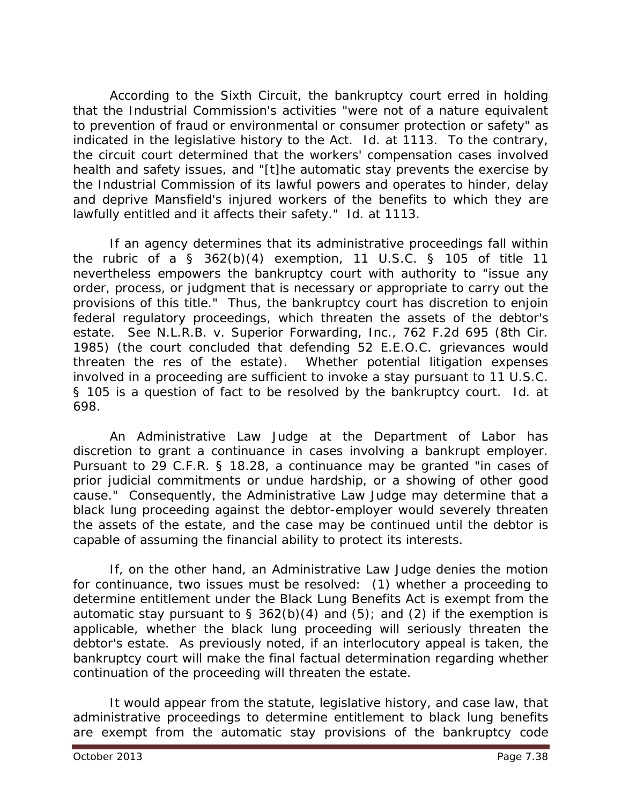According to the Sixth Circuit, the bankruptcy court erred in holding that the Industrial Commission's activities "were not of a nature equivalent to prevention of fraud or environmental or consumer protection or safety" as indicated in the legislative history to the Act. *Id.* at 1113. To the contrary, the circuit court determined that the workers' compensation cases involved health and safety issues, and "[t]he automatic stay prevents the exercise by the Industrial Commission of its lawful powers and operates to hinder, delay and deprive Mansfield's injured workers of the benefits to which they are lawfully entitled and it affects their safety." *Id.* at 1113.

If an agency determines that its administrative proceedings fall within the rubric of a  $\S$  362(b)(4) exemption, 11 U.S.C.  $\S$  105 of title 11 nevertheless empowers the bankruptcy court with authority to "issue any order, process, or judgment that is necessary or appropriate to carry out the provisions of this title." Thus, the bankruptcy court has discretion to enjoin federal regulatory proceedings, which threaten the assets of the debtor's estate. *See N.L.R.B. v. Superior Forwarding, Inc.*, 762 F.2d 695 (8th Cir. 1985) (the court concluded that defending 52 E.E.O.C. grievances would threaten the *res* of the estate). Whether potential litigation expenses involved in a proceeding are sufficient to invoke a stay pursuant to 11 U.S.C. § 105 is a question of fact to be resolved by the bankruptcy court. *Id.* at 698.

An Administrative Law Judge at the Department of Labor has discretion to grant a continuance in cases involving a bankrupt employer. Pursuant to 29 C.F.R. § 18.28, a continuance may be granted "in cases of prior judicial commitments or undue hardship, or a showing of other good cause." Consequently, the Administrative Law Judge may determine that a black lung proceeding against the debtor-employer would severely threaten the assets of the estate, and the case may be continued until the debtor is capable of assuming the financial ability to protect its interests.

If, on the other hand, an Administrative Law Judge denies the motion for continuance, two issues must be resolved: (1) whether a proceeding to determine entitlement under the Black Lung Benefits Act is exempt from the automatic stay pursuant to § 362(b)(4) and (5); and (2) if the exemption is applicable, whether the black lung proceeding will seriously threaten the debtor's estate. As previously noted, if an interlocutory appeal is taken, the bankruptcy court will make the final factual determination regarding whether continuation of the proceeding will threaten the estate.

It would appear from the statute, legislative history, and case law, that administrative proceedings to determine entitlement to black lung benefits are exempt from the automatic stay provisions of the bankruptcy code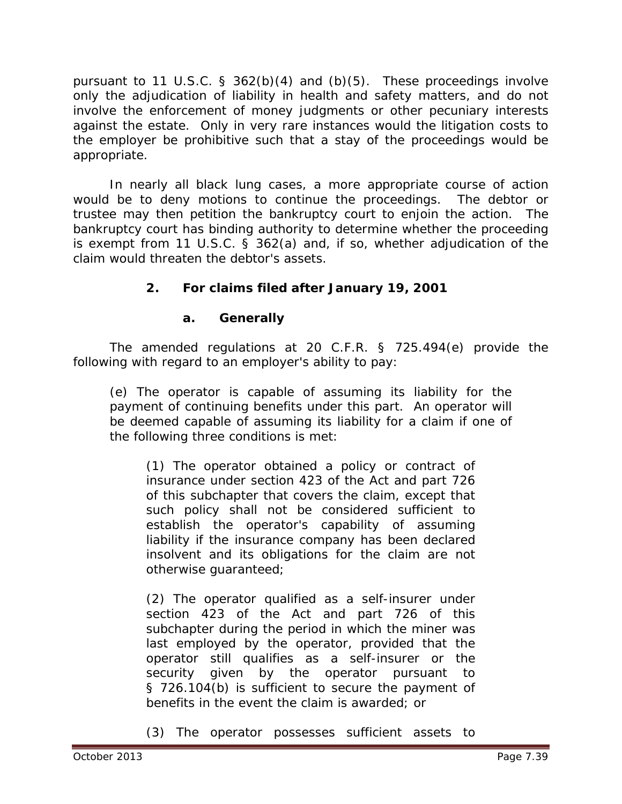pursuant to 11 U.S.C.  $\S$  362(b)(4) and (b)(5). These proceedings involve only the adjudication of liability in health and safety matters, and do not involve the enforcement of money judgments or other pecuniary interests against the estate. Only in very rare instances would the litigation costs to the employer be prohibitive such that a stay of the proceedings would be appropriate.

In nearly all black lung cases, a more appropriate course of action would be to deny motions to continue the proceedings. The debtor or trustee may then petition the bankruptcy court to enjoin the action. The bankruptcy court has binding authority to determine whether the proceeding is exempt from 11 U.S.C. § 362(a) and, if so, whether adjudication of the claim would threaten the debtor's assets.

# **2. For claims filed after January 19, 2001**

# **a. Generally**

The amended regulations at 20 C.F.R. § 725.494(e) provide the following with regard to an employer's ability to pay:

(e) The operator is capable of assuming its liability for the payment of continuing benefits under this part. An operator will be deemed capable of assuming its liability for a claim if one of the following three conditions is met:

(1) The operator obtained a policy or contract of insurance under section 423 of the Act and part 726 of this subchapter that covers the claim, except that such policy shall not be considered sufficient to establish the operator's capability of assuming liability if the insurance company has been declared insolvent and its obligations for the claim are not otherwise guaranteed;

(2) The operator qualified as a self-insurer under section 423 of the Act and part 726 of this subchapter during the period in which the miner was last employed by the operator, provided that the operator still qualifies as a self-insurer or the security given by the operator pursuant to § 726.104(b) is sufficient to secure the payment of benefits in the event the claim is awarded; or

(3) The operator possesses sufficient assets to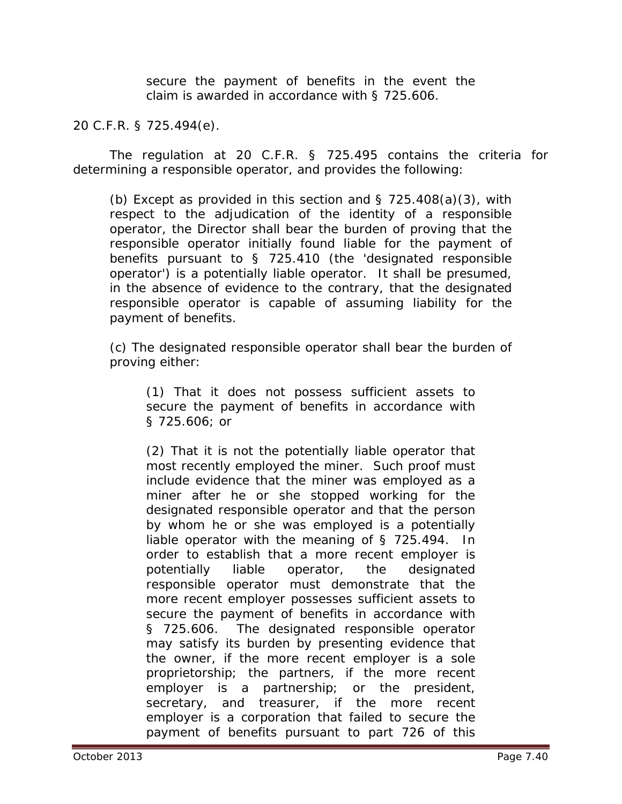secure the payment of benefits in the event the claim is awarded in accordance with § 725.606.

#### 20 C.F.R. § 725.494(e).

The regulation at 20 C.F.R. § 725.495 contains the criteria for determining a responsible operator, and provides the following:

(b) Except as provided in this section and  $\S$  725.408(a)(3), with respect to the adjudication of the identity of a responsible operator, the Director shall bear the burden of proving that the responsible operator initially found liable for the payment of benefits pursuant to § 725.410 (the 'designated responsible operator') is a potentially liable operator. It shall be presumed, in the absence of evidence to the contrary, that the designated responsible operator is capable of assuming liability for the payment of benefits.

(c) The designated responsible operator shall bear the burden of proving either:

(1) That it does not possess sufficient assets to secure the payment of benefits in accordance with § 725.606; or

(2) That it is not the potentially liable operator that most recently employed the miner. Such proof must include evidence that the miner was employed as a miner after he or she stopped working for the designated responsible operator and that the person by whom he or she was employed is a potentially liable operator with the meaning of § 725.494. In order to establish that a more recent employer is potentially liable operator, the designated responsible operator must demonstrate that the more recent employer possesses sufficient assets to secure the payment of benefits in accordance with § 725.606. The designated responsible operator may satisfy its burden by presenting evidence that the owner, if the more recent employer is a sole proprietorship; the partners, if the more recent employer is a partnership; or the president, secretary, and treasurer, if the more recent employer is a corporation that failed to secure the payment of benefits pursuant to part 726 of this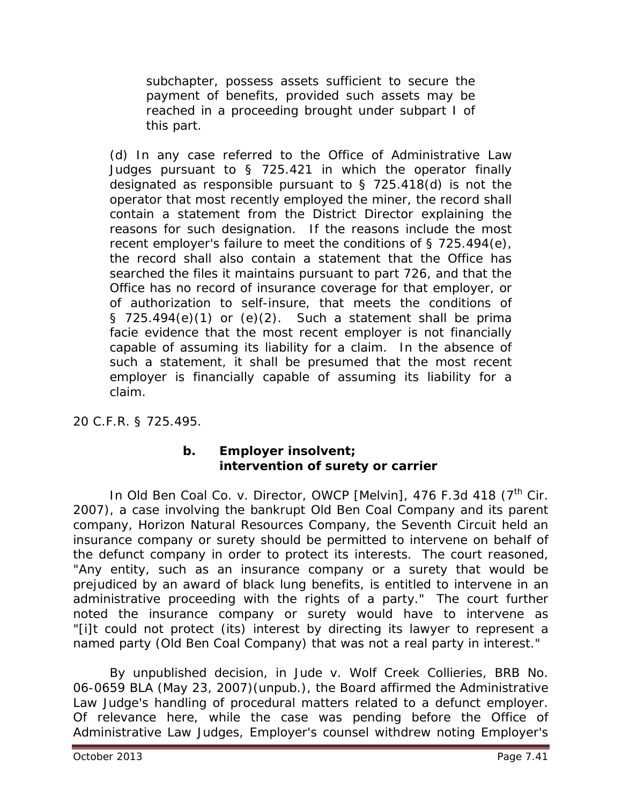subchapter, possess assets sufficient to secure the payment of benefits, provided such assets may be reached in a proceeding brought under subpart I of this part.

(d) In any case referred to the Office of Administrative Law Judges pursuant to § 725.421 in which the operator finally designated as responsible pursuant to § 725.418(d) is not the operator that most recently employed the miner, the record shall contain a statement from the District Director explaining the reasons for such designation. If the reasons include the most recent employer's failure to meet the conditions of § 725.494(e), the record shall also contain a statement that the Office has searched the files it maintains pursuant to part 726, and that the Office has no record of insurance coverage for that employer, or of authorization to self-insure, that meets the conditions of § 725.494 $(e)(1)$  or  $(e)(2)$ . Such a statement shall be prima facie evidence that the most recent employer is not financially capable of assuming its liability for a claim. In the absence of such a statement, it shall be presumed that the most recent employer is financially capable of assuming its liability for a claim.

20 C.F.R. § 725.495.

# **b. Employer insolvent; intervention of surety or carrier**

In *Old Ben Coal Co. v. Director, OWCP [Melvin]*, 476 F.3d 418 (7<sup>th</sup> Cir. 2007), a case involving the bankrupt Old Ben Coal Company and its parent company, Horizon Natural Resources Company, the Seventh Circuit held an insurance company or surety should be permitted to intervene on behalf of the defunct company in order to protect its interests. The court reasoned, "Any entity, such as an insurance company or a surety that would be prejudiced by an award of black lung benefits, is entitled to intervene in an administrative proceeding with the rights of a party." The court further noted the insurance company or surety would have to intervene as "[i]t could not protect (its) interest by directing its lawyer to represent a named party (Old Ben Coal Company) that was not a real party in interest."

By unpublished decision, in *Jude v. Wolf Creek Collieries*, BRB No. 06-0659 BLA (May 23, 2007)(unpub.), the Board affirmed the Administrative Law Judge's handling of procedural matters related to a defunct employer. Of relevance here, while the case was pending before the Office of Administrative Law Judges, Employer's counsel withdrew noting Employer's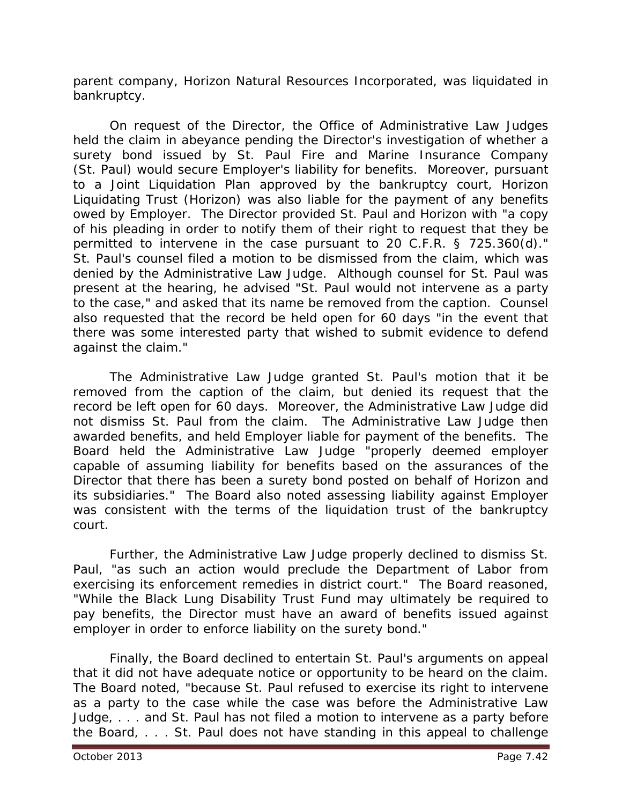parent company, Horizon Natural Resources Incorporated, was liquidated in bankruptcy.

On request of the Director, the Office of Administrative Law Judges held the claim in abeyance pending the Director's investigation of whether a surety bond issued by St. Paul Fire and Marine Insurance Company (St. Paul) would secure Employer's liability for benefits. Moreover, pursuant to a Joint Liquidation Plan approved by the bankruptcy court, Horizon Liquidating Trust (Horizon) was also liable for the payment of any benefits owed by Employer. The Director provided St. Paul and Horizon with "a copy of his pleading in order to notify them of their right to request that they be permitted to intervene in the case pursuant to 20 C.F.R. § 725.360(d)." St. Paul's counsel filed a motion to be dismissed from the claim, which was denied by the Administrative Law Judge. Although counsel for St. Paul was present at the hearing, he advised "St. Paul would not intervene as a party to the case," and asked that its name be removed from the caption. Counsel also requested that the record be held open for 60 days "in the event that there was some interested party that wished to submit evidence to defend against the claim."

The Administrative Law Judge granted St. Paul's motion that it be removed from the caption of the claim, but denied its request that the record be left open for 60 days. Moreover, the Administrative Law Judge did not dismiss St. Paul from the claim. The Administrative Law Judge then awarded benefits, and held Employer liable for payment of the benefits. The Board held the Administrative Law Judge "properly deemed employer capable of assuming liability for benefits based on the assurances of the Director that there has been a surety bond posted on behalf of Horizon and its subsidiaries." The Board also noted assessing liability against Employer was consistent with the terms of the liquidation trust of the bankruptcy court.

Further, the Administrative Law Judge properly declined to dismiss St. Paul, "as such an action would preclude the Department of Labor from exercising its enforcement remedies in district court." The Board reasoned, "While the Black Lung Disability Trust Fund may ultimately be required to pay benefits, the Director must have an award of benefits issued against employer in order to enforce liability on the surety bond."

Finally, the Board declined to entertain St. Paul's arguments on appeal that it did not have adequate notice or opportunity to be heard on the claim. The Board noted, "because St. Paul refused to exercise its right to intervene as a party to the case while the case was before the Administrative Law Judge, . . . and St. Paul has not filed a motion to intervene as a party before the Board, . . . St. Paul does not have standing in this appeal to challenge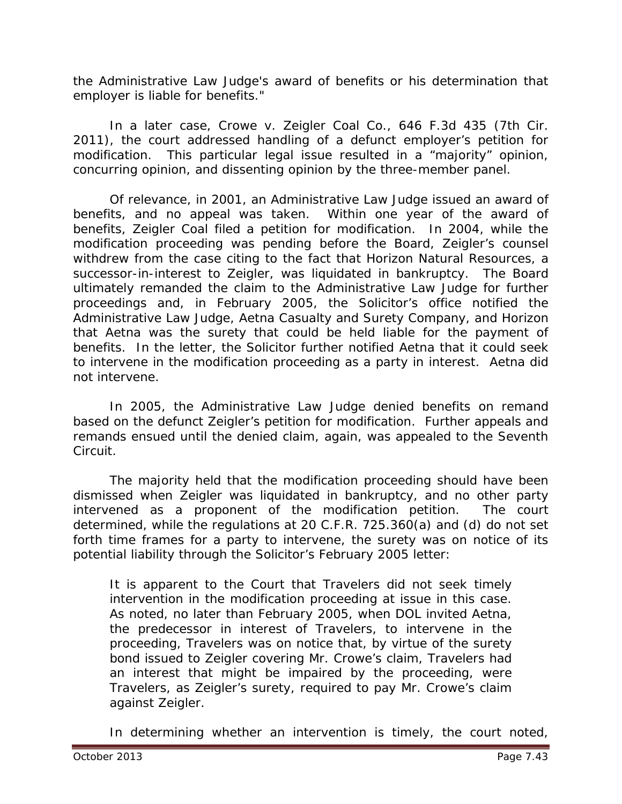the Administrative Law Judge's award of benefits or his determination that employer is liable for benefits."

In a later case, *Crowe v. Zeigler Coal Co.*, 646 F.3d 435 (7th Cir. 2011), the court addressed handling of a defunct employer's petition for modification. This particular legal issue resulted in a "majority" opinion, concurring opinion, and dissenting opinion by the three-member panel.

Of relevance, in 2001, an Administrative Law Judge issued an award of benefits, and no appeal was taken. Within one year of the award of benefits, Zeigler Coal filed a petition for modification. In 2004, while the modification proceeding was pending before the Board, Zeigler's counsel withdrew from the case citing to the fact that Horizon Natural Resources, a successor-in-interest to Zeigler, was liquidated in bankruptcy. The Board ultimately remanded the claim to the Administrative Law Judge for further proceedings and, in February 2005, the Solicitor's office notified the Administrative Law Judge, Aetna Casualty and Surety Company, and Horizon that Aetna was the surety that could be held liable for the payment of benefits. In the letter, the Solicitor further notified Aetna that it could seek to intervene in the modification proceeding as a party in interest. Aetna did not intervene.

In 2005, the Administrative Law Judge denied benefits on remand based on the defunct Zeigler's petition for modification. Further appeals and remands ensued until the denied claim, again, was appealed to the Seventh Circuit.

The majority held that the modification proceeding should have been dismissed when Zeigler was liquidated in bankruptcy, and no other party intervened as a proponent of the modification petition. The court determined, while the regulations at 20 C.F.R. 725.360(a) and (d) do not set forth time frames for a party to intervene, the surety was on notice of its potential liability through the Solicitor's February 2005 letter:

It is apparent to the Court that Travelers did not seek timely intervention in the modification proceeding at issue in this case. As noted, no later than February 2005, when DOL invited Aetna, the predecessor in interest of Travelers, to intervene in the proceeding, Travelers was on notice that, by virtue of the surety bond issued to Zeigler covering Mr. Crowe's claim, Travelers had an interest that might be impaired by the proceeding, were Travelers, as Zeigler's surety, required to pay Mr. Crowe's claim against Zeigler.

In determining whether an intervention is timely, the court noted,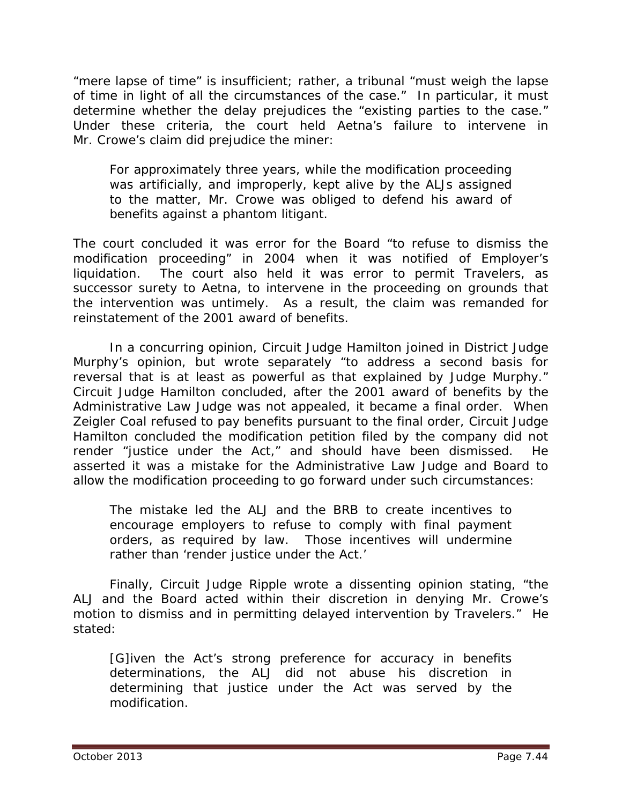"mere lapse of time" is insufficient; rather, a tribunal "must weigh the lapse of time in light of all the circumstances of the case." In particular, it must determine whether the delay prejudices the "existing parties to the case." Under these criteria, the court held Aetna's failure to intervene in Mr. Crowe's claim did prejudice the miner:

For approximately three years, while the modification proceeding was artificially, and improperly, kept alive by the ALJs assigned to the matter, Mr. Crowe was obliged to defend his award of benefits against a phantom litigant.

The court concluded it was error for the Board "to refuse to dismiss the modification proceeding" in 2004 when it was notified of Employer's liquidation. The court also held it was error to permit Travelers, as successor surety to Aetna, to intervene in the proceeding on grounds that the intervention was untimely. As a result, the claim was remanded for reinstatement of the 2001 award of benefits.

In a concurring opinion, Circuit Judge Hamilton joined in District Judge Murphy's opinion, but wrote separately "to address a second basis for reversal that is at least as powerful as that explained by Judge Murphy." Circuit Judge Hamilton concluded, after the 2001 award of benefits by the Administrative Law Judge was not appealed, it became a final order. When Zeigler Coal refused to pay benefits pursuant to the final order, Circuit Judge Hamilton concluded the modification petition filed by the company did not render "justice under the Act," and should have been dismissed. He asserted it was a mistake for the Administrative Law Judge and Board to allow the modification proceeding to go forward under such circumstances:

The mistake led the ALJ and the BRB to create incentives to encourage employers to refuse to comply with final payment orders, as required by law. Those incentives will undermine rather than 'render justice under the Act.'

Finally, Circuit Judge Ripple wrote a dissenting opinion stating, "the ALJ and the Board acted within their discretion in denying Mr. Crowe's motion to dismiss and in permitting delayed intervention by Travelers." He stated:

[G]iven the Act's strong preference for accuracy in benefits determinations, the ALJ did not abuse his discretion in determining that justice under the Act was served by the modification.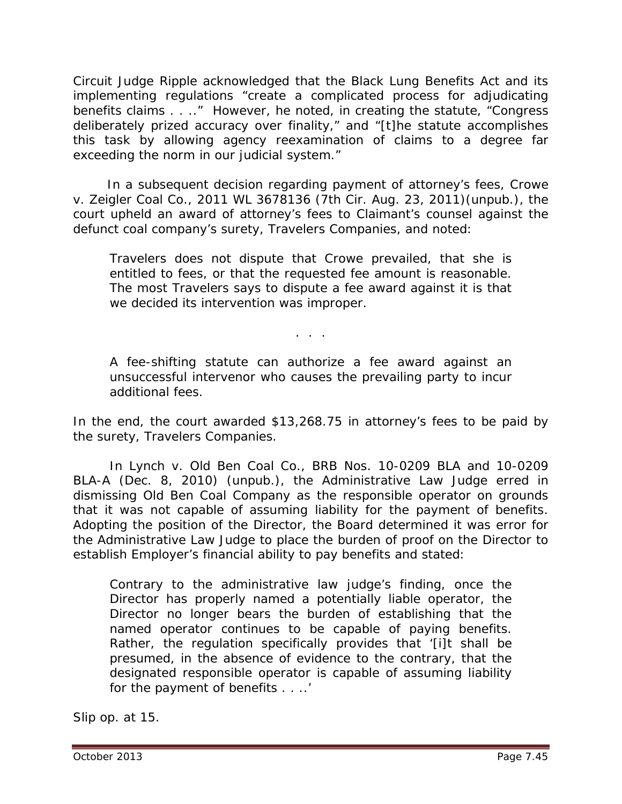Circuit Judge Ripple acknowledged that the Black Lung Benefits Act and its implementing regulations "create a complicated process for adjudicating benefits claims . . .." However, he noted, in creating the statute, "Congress deliberately prized accuracy over finality," and "[t]he statute accomplishes this task by allowing agency reexamination of claims to a degree far exceeding the norm in our judicial system."

 In a subsequent decision regarding payment of attorney's fees, *Crowe v. Zeigler Coal Co.*, 2011 WL 3678136 (7th Cir. Aug. 23, 2011)(unpub.), the court upheld an award of attorney's fees to Claimant's counsel against the defunct coal company's surety, Travelers Companies, and noted:

Travelers does not dispute that Crowe prevailed, that she is entitled to fees, or that the requested fee amount is reasonable. The most Travelers says to dispute a fee award against it is that we decided its intervention was improper.

A fee-shifting statute can authorize a fee award against an unsuccessful intervenor who causes the prevailing party to incur additional fees.

. . .

In the end, the court awarded \$13,268.75 in attorney's fees to be paid by the surety, Travelers Companies.

In *Lynch v. Old Ben Coal Co.*, BRB Nos. 10-0209 BLA and 10-0209 BLA-A (Dec. 8, 2010) (unpub.), the Administrative Law Judge erred in dismissing Old Ben Coal Company as the responsible operator on grounds that it was not capable of assuming liability for the payment of benefits. Adopting the position of the Director, the Board determined it was error for the Administrative Law Judge to place the burden of proof on the Director to establish Employer's financial ability to pay benefits and stated:

Contrary to the administrative law judge's finding, once the Director has properly named a potentially liable operator, the Director no longer bears the burden of establishing that the named operator continues to be capable of paying benefits. Rather, the regulation specifically provides that '[i]t shall be presumed, in the absence of evidence to the contrary, that the designated responsible operator is capable of assuming liability for the payment of benefits . . ..'

*Slip op.* at 15.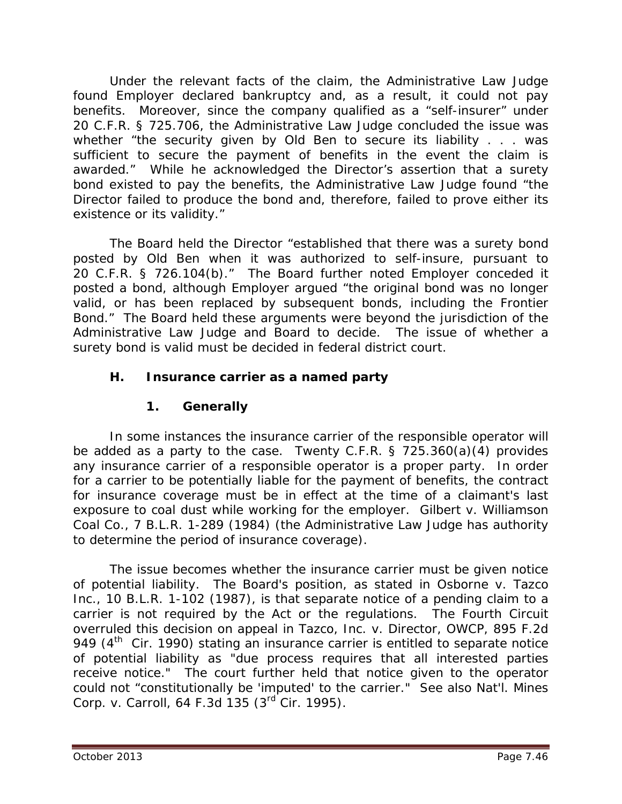Under the relevant facts of the claim, the Administrative Law Judge found Employer declared bankruptcy and, as a result, it could not pay benefits. Moreover, since the company qualified as a "self-insurer" under 20 C.F.R. § 725.706, the Administrative Law Judge concluded the issue was whether "the security given by Old Ben to secure its liability . . . was sufficient to secure the payment of benefits in the event the claim is awarded." While he acknowledged the Director's assertion that a surety bond existed to pay the benefits, the Administrative Law Judge found "the Director failed to produce the bond and, therefore, failed to prove either its existence or its validity."

The Board held the Director "established that there was a surety bond posted by Old Ben when it was authorized to self-insure, pursuant to 20 C.F.R. § 726.104(b)." The Board further noted Employer conceded it posted a bond, although Employer argued "the original bond was no longer valid, or has been replaced by subsequent bonds, including the Frontier Bond." The Board held these arguments were beyond the jurisdiction of the Administrative Law Judge and Board to decide. The issue of whether a surety bond is valid must be decided in federal district court.

# **H. Insurance carrier as a named party**

# **1. Generally**

In some instances the insurance carrier of the responsible operator will be added as a party to the case. Twenty C.F.R. § 725.360(a)(4) provides any insurance carrier of a responsible operator is a proper party. In order for a carrier to be potentially liable for the payment of benefits, the contract for insurance coverage must be in effect at the time of a claimant's last exposure to coal dust while working for the employer. *Gilbert v. Williamson Coal Co.,* 7 B.L.R. 1-289 (1984) (the Administrative Law Judge has authority to determine the period of insurance coverage).

The issue becomes whether the insurance carrier must be given notice of potential liability. The Board's position, as stated in *Osborne v. Tazco Inc.*, 10 B.L.R. 1-102 (1987), is that separate notice of a pending claim to a carrier is not required by the Act or the regulations. The Fourth Circuit overruled this decision on appeal in *Tazco, Inc. v. Director, OWCP*, 895 F.2d 949  $(4<sup>th</sup>$  Cir. 1990) stating an insurance carrier is entitled to separate notice of potential liability as "due process requires that all interested parties receive notice." The court further held that notice given to the operator could not "constitutionally be 'imputed' to the carrier." *See also Nat'l. Mines Corp. v. Carroll*, 64 F.3d 135 (3rd Cir. 1995).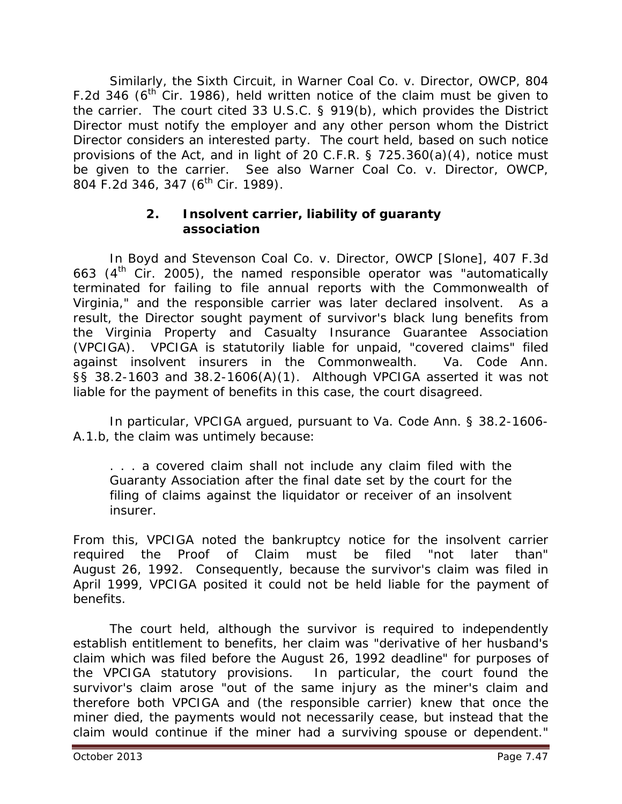Similarly, the Sixth Circuit, in *Warner Coal Co. v. Director, OWCP*, 804 F.2d 346 ( $6<sup>th</sup>$  Cir. 1986), held written notice of the claim must be given to the carrier. The court cited 33 U.S.C. § 919(b), which provides the District Director must notify the employer and any other person whom the District Director considers an interested party. The court held, based on such notice provisions of the Act, and in light of 20 C.F.R. § 725.360(a)(4), notice must be given to the carrier. *See also Warner Coal Co. v. Director, OWCP*, 804 F.2d 346, 347 (6<sup>th</sup> Cir. 1989).

#### **2. Insolvent carrier, liability of guaranty association**

In *Boyd and Stevenson Coal Co. v. Director, OWCP [Slone]*, 407 F.3d 663  $(4<sup>th</sup>$  Cir. 2005), the named responsible operator was "automatically terminated for failing to file annual reports with the Commonwealth of Virginia," and the responsible carrier was later declared insolvent. As a result, the Director sought payment of survivor's black lung benefits from the Virginia Property and Casualty Insurance Guarantee Association (VPCIGA). VPCIGA is statutorily liable for unpaid, "covered claims" filed against insolvent insurers in the Commonwealth. Va. Code Ann. §§ 38.2-1603 and 38.2-1606(A)(1). Although VPCIGA asserted it was not liable for the payment of benefits in this case, the court disagreed.

In particular, VPCIGA argued, pursuant to Va. Code Ann. § 38.2-1606- A.1.b, the claim was untimely because:

. . . a covered claim shall not include any claim filed with the Guaranty Association after the final date set by the court for the filing of claims against the liquidator or receiver of an insolvent insurer.

From this, VPCIGA noted the bankruptcy notice for the insolvent carrier required the Proof of Claim must be filed "not later than" August 26, 1992. Consequently, because the survivor's claim was filed in April 1999, VPCIGA posited it could not be held liable for the payment of benefits.

The court held, although the survivor is required to independently establish entitlement to benefits, her claim was "derivative of her husband's claim which was filed before the August 26, 1992 deadline" for purposes of the VPCIGA statutory provisions. In particular, the court found the survivor's claim arose "out of the same injury as the miner's claim and therefore both VPCIGA and (the responsible carrier) knew that once the miner died, the payments would not necessarily cease, but instead that the claim would continue if the miner had a surviving spouse or dependent."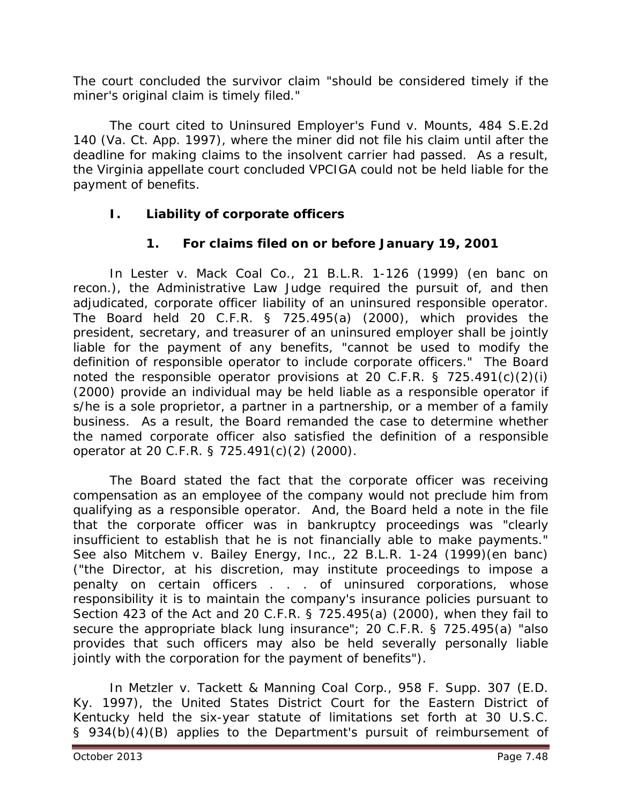The court concluded the survivor claim "should be considered timely if the miner's original claim is timely filed."

The court cited to *Uninsured Employer's Fund v. Mounts*, 484 S.E.2d 140 (Va. Ct. App. 1997), where the miner did not file his claim until after the deadline for making claims to the insolvent carrier had passed. As a result, the Virginia appellate court concluded VPCIGA could not be held liable for the payment of benefits.

# **I. Liability of corporate officers**

# **1. For claims filed on or before January 19, 2001**

In *Lester v. Mack Coal Co.*, 21 B.L.R. 1-126 (1999) (en banc on recon.), the Administrative Law Judge required the pursuit of, and then adjudicated, corporate officer liability of an uninsured responsible operator. The Board held 20 C.F.R. § 725.495(a) (2000), which provides the president, secretary, and treasurer of an uninsured employer shall be jointly liable for the payment of any benefits, "cannot be used to modify the definition of responsible operator to include corporate officers." The Board noted the responsible operator provisions at 20 C.F.R. § 725.491(c)(2)(i) (2000) provide an individual may be held liable as a responsible operator if s/he is a sole proprietor, a partner in a partnership, or a member of a family business. As a result, the Board remanded the case to determine whether the named corporate officer also satisfied the definition of a responsible operator at 20 C.F.R. § 725.491(c)(2) (2000).

The Board stated the fact that the corporate officer was receiving compensation as an employee of the company would not preclude him from qualifying as a responsible operator. And, the Board held a note in the file that the corporate officer was in bankruptcy proceedings was "clearly insufficient to establish that he is not financially able to make payments." *See also Mitchem v. Bailey Energy, Inc.*, 22 B.L.R. 1-24 (1999)(en banc) ("the Director, at his discretion, may institute proceedings to impose a penalty on certain officers . . . of uninsured corporations, whose responsibility it is to maintain the company's insurance policies pursuant to Section 423 of the Act and 20 C.F.R. § 725.495(a) (2000), when they fail to secure the appropriate black lung insurance"; 20 C.F.R. § 725.495(a) "also provides that such officers may also be held severally personally liable jointly with the corporation for the payment of benefits").

In *Metzler v. Tackett & Manning Coal Corp.*, 958 F. Supp. 307 (E.D. Ky. 1997), the United States District Court for the Eastern District of Kentucky held the six-year statute of limitations set forth at 30 U.S.C. § 934(b)(4)(B) applies to the Department's pursuit of reimbursement of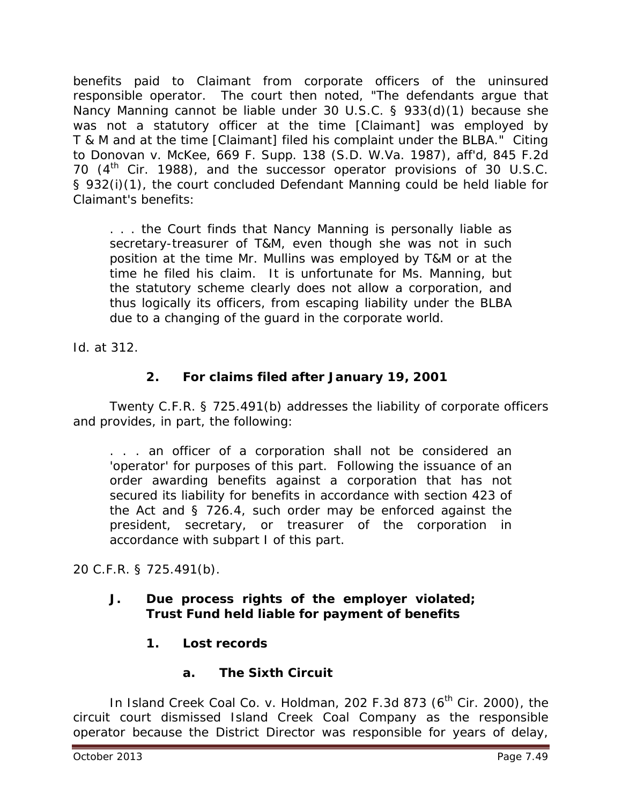benefits paid to Claimant from corporate officers of the uninsured responsible operator. The court then noted, "The defendants argue that Nancy Manning cannot be liable under 30 U.S.C. § 933(d)(1) because she was not a statutory officer at the time [Claimant] was employed by T & M and at the time [Claimant] filed his complaint under the BLBA." Citing to *Donovan v. McKee*, 669 F. Supp. 138 (S.D. W.Va. 1987), *aff'd*, 845 F.2d 70  $(4<sup>th</sup>$  Cir. 1988), and the successor operator provisions of 30 U.S.C. § 932(i)(1), the court concluded Defendant Manning could be held liable for Claimant's benefits:

. . . the Court finds that Nancy Manning is personally liable as secretary-treasurer of T&M, even though she was not in such position at the time Mr. Mullins was employed by T&M or at the time he filed his claim. It is unfortunate for Ms. Manning, but the statutory scheme clearly does not allow a corporation, and thus logically its officers, from escaping liability under the BLBA due to a changing of the guard in the corporate world.

*Id.* at 312.

# **2. For claims filed after January 19, 2001**

Twenty C.F.R. § 725.491(b) addresses the liability of corporate officers and provides, in part, the following:

. . . an officer of a corporation shall not be considered an 'operator' for purposes of this part. Following the issuance of an order awarding benefits against a corporation that has not secured its liability for benefits in accordance with section 423 of the Act and § 726.4, such order may be enforced against the president, secretary, or treasurer of the corporation in accordance with subpart I of this part.

20 C.F.R. § 725.491(b).

#### **J. Due process rights of the employer violated; Trust Fund held liable for payment of benefits**

**1. Lost records**

# **a. The Sixth Circuit**

In *Island Creek Coal Co. v. Holdman*, 202 F.3d 873 (6<sup>th</sup> Cir. 2000), the circuit court dismissed Island Creek Coal Company as the responsible operator because the District Director was responsible for years of delay,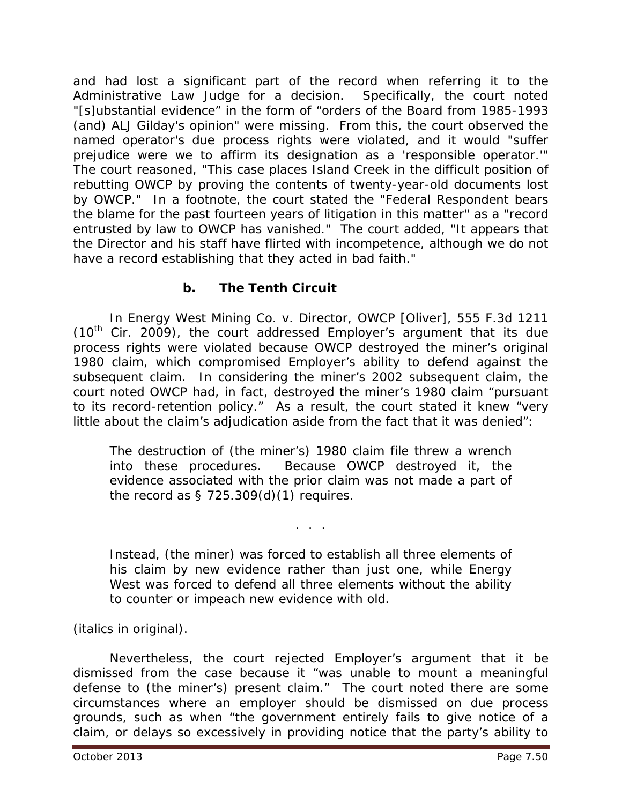and had lost a significant part of the record when referring it to the Administrative Law Judge for a decision. Specifically, the court noted "[s]ubstantial evidence" in the form of "orders of the Board from 1985-1993 (and) ALJ Gilday's opinion" were missing. From this, the court observed the named operator's due process rights were violated, and it would "suffer prejudice were we to affirm its designation as a 'responsible operator.'" The court reasoned, "This case places Island Creek in the difficult position of rebutting OWCP by proving the contents of twenty-year-old documents lost by OWCP." In a footnote, the court stated the "Federal Respondent bears the blame for the past fourteen years of litigation in this matter" as a "record entrusted by law to OWCP has vanished." The court added, "It appears that the Director and his staff have flirted with incompetence, although we do not have a record establishing that they acted in bad faith."

# **b. The Tenth Circuit**

In *Energy West Mining Co. v. Director, OWCP [Oliver]*, 555 F.3d 1211  $(10<sup>th</sup>$  Cir. 2009), the court addressed Employer's argument that its due process rights were violated because OWCP destroyed the miner's original 1980 claim, which compromised Employer's ability to defend against the subsequent claim. In considering the miner's 2002 subsequent claim, the court noted OWCP had, in fact, destroyed the miner's 1980 claim "pursuant to its record-retention policy." As a result, the court stated it knew "very little about the claim's adjudication aside from the fact that it was denied":

The destruction of (the miner's) 1980 claim file threw a wrench into these procedures. Because OWCP destroyed it, the evidence associated with the prior claim was not made a part of the record as  $\S$  725.309(d)(1) requires.

Instead, (the miner) was forced to establish *all three* elements of his claim by new evidence rather than just one, while Energy West was forced to *defend* all three elements without the ability to counter or impeach new evidence with old.

. . .

(italics in original).

Nevertheless, the court rejected Employer's argument that it be dismissed from the case because it "was unable to mount a meaningful defense to (the miner's) present claim." The court noted there are some circumstances where an employer should be dismissed on due process grounds, such as when "the government entirely fails to give notice of a claim, or delays so excessively in providing notice that the party's ability to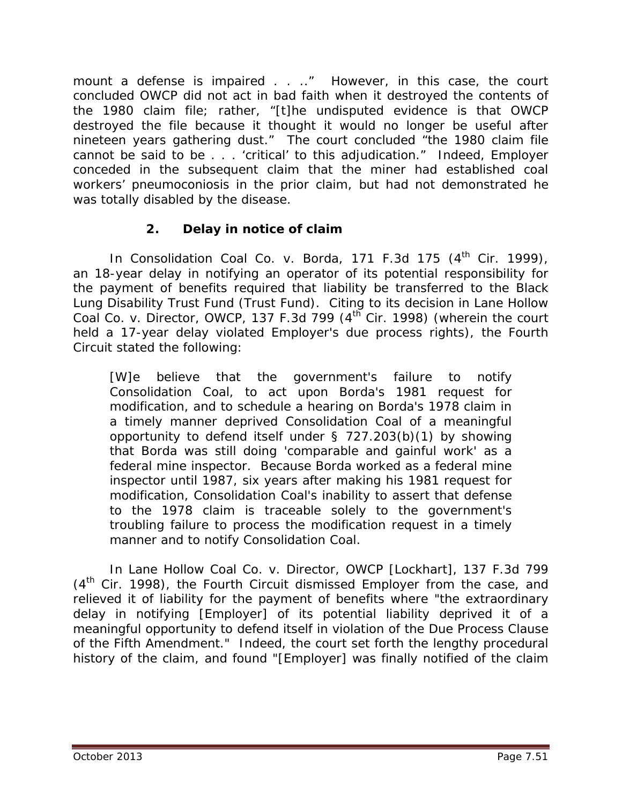mount a defense is impaired . . .." However, in this case, the court concluded OWCP did not act in bad faith when it destroyed the contents of the 1980 claim file; rather, "[t]he undisputed evidence is that OWCP destroyed the file because it thought it would no longer be useful after nineteen years gathering dust." The court concluded "the 1980 claim file cannot be said to be . . . 'critical' to this adjudication." Indeed, Employer conceded in the subsequent claim that the miner had established coal workers' pneumoconiosis in the prior claim, but had not demonstrated he was totally disabled by the disease.

# **2. Delay in notice of claim**

In *Consolidation Coal Co. v. Borda*, 171 F.3d 175 (4<sup>th</sup> Cir. 1999), an 18-year delay in notifying an operator of its potential responsibility for the payment of benefits required that liability be transferred to the Black Lung Disability Trust Fund (Trust Fund). Citing to its decision in *Lane Hollow Coal Co. v. Director, OWCP*, 137 F.3d 799 (4<sup>th</sup> Cir. 1998) (wherein the court held a 17-year delay violated Employer's due process rights), the Fourth Circuit stated the following:

[W]e believe that the government's failure to notify Consolidation Coal, to act upon Borda's 1981 request for modification, and to schedule a hearing on Borda's 1978 claim in a timely manner deprived Consolidation Coal of a meaningful opportunity to defend itself under § 727.203(b)(1) by showing that Borda was still doing 'comparable and gainful work' as a federal mine inspector. Because Borda worked as a federal mine inspector until 1987, six years after making his 1981 request for modification, Consolidation Coal's inability to assert that defense to the 1978 claim is traceable solely to the government's troubling failure to process the modification request in a timely manner and to notify Consolidation Coal.

In *Lane Hollow Coal Co. v. Director, OWCP [Lockhart]*, 137 F.3d 799  $(4<sup>th</sup>$  Cir. 1998), the Fourth Circuit dismissed Employer from the case, and relieved it of liability for the payment of benefits where "the extraordinary delay in notifying [Employer] of its potential liability deprived it of a meaningful opportunity to defend itself in violation of the Due Process Clause of the Fifth Amendment." Indeed, the court set forth the lengthy procedural history of the claim, and found "[Employer] was finally notified of the claim